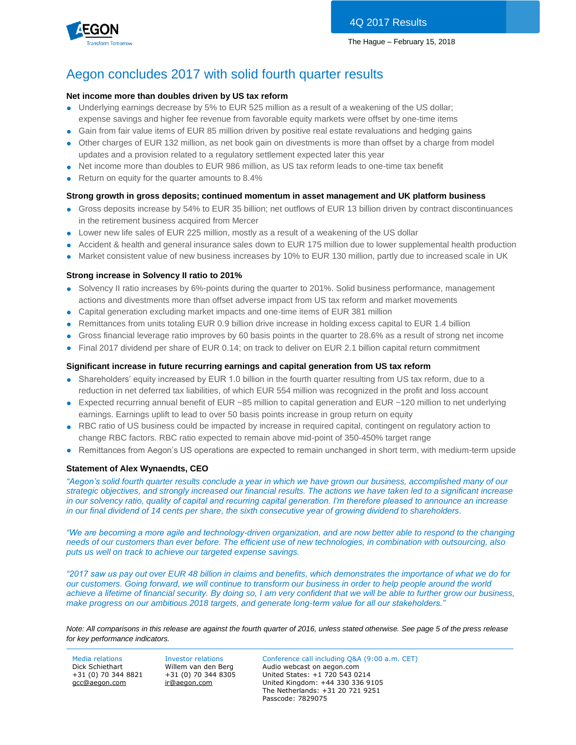

# Aegon concludes 2017 with solid fourth quarter results

#### **Net income more than doubles driven by US tax reform**

- Underlying earnings decrease by 5% to EUR 525 million as a result of a weakening of the US dollar; expense savings and higher fee revenue from favorable equity markets were offset by one-time items
- Gain from fair value items of EUR 85 million driven by positive real estate revaluations and hedging gains
- Other charges of EUR 132 million, as net book gain on divestments is more than offset by a charge from model updates and a provision related to a regulatory settlement expected later this year
- Net income more than doubles to EUR 986 million, as US tax reform leads to one-time tax benefit
- Return on equity for the quarter amounts to 8.4%

#### **Strong growth in gross deposits; continued momentum in asset management and UK platform business**

- Gross deposits increase by 54% to EUR 35 billion; net outflows of EUR 13 billion driven by contract discontinuances in the retirement business acquired from Mercer
- Lower new life sales of EUR 225 million, mostly as a result of a weakening of the US dollar
- Accident & health and general insurance sales down to EUR 175 million due to lower supplemental health production
- Market consistent value of new business increases by 10% to EUR 130 million, partly due to increased scale in UK

#### **Strong increase in Solvency II ratio to 201%**

- Solvency II ratio increases by 6%-points during the quarter to 201%. Solid business performance, management actions and divestments more than offset adverse impact from US tax reform and market movements
- Capital generation excluding market impacts and one-time items of EUR 381 million
- Remittances from units totaling EUR 0.9 billion drive increase in holding excess capital to EUR 1.4 billion
- Gross financial leverage ratio improves by 60 basis points in the quarter to 28.6% as a result of strong net income
- Final 2017 dividend per share of EUR 0.14; on track to deliver on EUR 2.1 billion capital return commitment

#### **Significant increase in future recurring earnings and capital generation from US tax reform**

- Shareholders' equity increased by EUR 1.0 billion in the fourth quarter resulting from US tax reform, due to a reduction in net deferred tax liabilities, of which EUR 554 million was recognized in the profit and loss account
- Expected recurring annual benefit of EUR ~85 million to capital generation and EUR ~120 million to net underlying earnings. Earnings uplift to lead to over 50 basis points increase in group return on equity
- RBC ratio of US business could be impacted by increase in required capital, contingent on regulatory action to change RBC factors. RBC ratio expected to remain above mid-point of 350-450% target range
- Remittances from Aegon's US operations are expected to remain unchanged in short term, with medium-term upside

#### **Statement of Alex Wynaendts, CEO**

*"Aegon's solid fourth quarter results conclude a year in which we have grown our business, accomplished many of our strategic objectives, and strongly increased our financial results. The actions we have taken led to a significant increase in our solvency ratio, quality of capital and recurring capital generation. I'm therefore pleased to announce an increase in our final dividend of 14 cents per share, the sixth consecutive year of growing dividend to shareholders.*

*"We are becoming a more agile and technology-driven organization, and are now better able to respond to the changing needs of our customers than ever before. The efficient use of new technologies, in combination with outsourcing, also puts us well on track to achieve our targeted expense savings.*

*"2017 saw us pay out over EUR 48 billion in claims and benefits, which demonstrates the importance of what we do for our customers. Going forward, we will continue to transform our business in order to help people around the world achieve a lifetime of financial security. By doing so, I am very confident that we will be able to further grow our business, make progress on our ambitious 2018 targets, and generate long-term value for all our stakeholders."* 

*Note: All comparisons in this release are against the fourth quarter of 2016, unless stated otherwise. See page 5 of the press release for key performance indicators.*

+31 (0) 70 344 8821 [gcc@aegon.com](mailto:gcc@aegon.com)

+31 (0) 70 344 8305 [ir@aegon.com](mailto:ir@aegon.com)

Media relations Investor relations Conference call including Q&A (9:00 a.m. CET) Dick Schiethart Willem van den Berg Audio webcast on aegon.com United States: +1 720 543 0214 United Kingdom: +44 330 336 9105 The Netherlands: +31 20 721 9251 Passcode: 7829075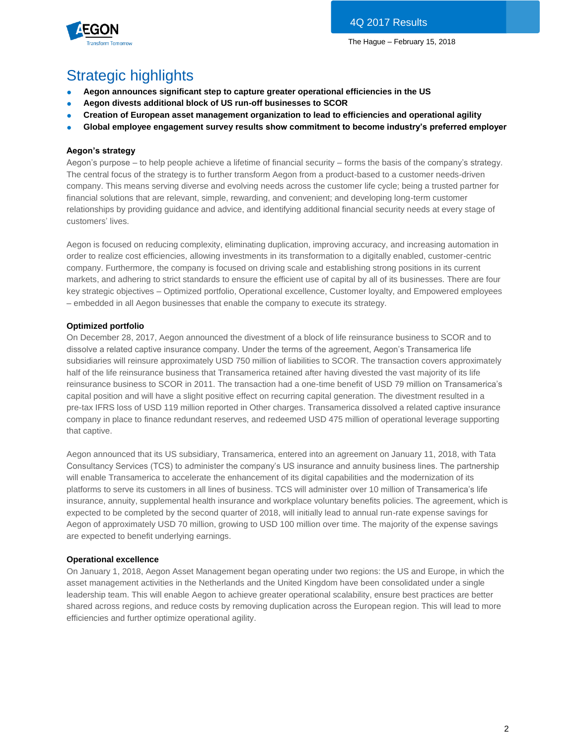



# Strategic highlights

- **Aegon announces significant step to capture greater operational efficiencies in the US**
- Aegon divests additional block of US run-off businesses to SCOR
- **Creation of European asset management organization to lead to efficiencies and operational agility**
- **Global employee engagement survey results show commitment to become industry's preferred employer**

#### **Aegon's strategy**

Aegon's purpose – to help people achieve a lifetime of financial security – forms the basis of the company's strategy. The central focus of the strategy is to further transform Aegon from a product-based to a customer needs-driven company. This means serving diverse and evolving needs across the customer life cycle; being a trusted partner for financial solutions that are relevant, simple, rewarding, and convenient; and developing long-term customer relationships by providing guidance and advice, and identifying additional financial security needs at every stage of customers' lives.

Aegon is focused on reducing complexity, eliminating duplication, improving accuracy, and increasing automation in order to realize cost efficiencies, allowing investments in its transformation to a digitally enabled, customer-centric company. Furthermore, the company is focused on driving scale and establishing strong positions in its current markets, and adhering to strict standards to ensure the efficient use of capital by all of its businesses. There are four key strategic objectives – Optimized portfolio, Operational excellence, Customer loyalty, and Empowered employees – embedded in all Aegon businesses that enable the company to execute its strategy.

#### **Optimized portfolio**

On December 28, 2017, Aegon announced the divestment of a block of life reinsurance business to SCOR and to dissolve a related captive insurance company. Under the terms of the agreement, Aegon's Transamerica life subsidiaries will reinsure approximately USD 750 million of liabilities to SCOR. The transaction covers approximately half of the life reinsurance business that Transamerica retained after having divested the vast majority of its life reinsurance business to SCOR in 2011. The transaction had a one-time benefit of USD 79 million on Transamerica's capital position and will have a slight positive effect on recurring capital generation. The divestment resulted in a pre-tax IFRS loss of USD 119 million reported in Other charges. Transamerica dissolved a related captive insurance company in place to finance redundant reserves, and redeemed USD 475 million of operational leverage supporting that captive.

Aegon announced that its US subsidiary, Transamerica, entered into an agreement on January 11, 2018, with Tata Consultancy Services (TCS) to administer the company's US insurance and annuity business lines. The partnership will enable Transamerica to accelerate the enhancement of its digital capabilities and the modernization of its platforms to serve its customers in all lines of business. TCS will administer over 10 million of Transamerica's life insurance, annuity, supplemental health insurance and workplace voluntary benefits policies. The agreement, which is expected to be completed by the second quarter of 2018, will initially lead to annual run-rate expense savings for Aegon of approximately USD 70 million, growing to USD 100 million over time. The majority of the expense savings are expected to benefit underlying earnings.

#### **Operational excellence**

On January 1, 2018, Aegon Asset Management began operating under two regions: the US and Europe, in which the asset management activities in the Netherlands and the United Kingdom have been consolidated under a single leadership team. This will enable Aegon to achieve greater operational scalability, ensure best practices are better shared across regions, and reduce costs by removing duplication across the European region. This will lead to more efficiencies and further optimize operational agility.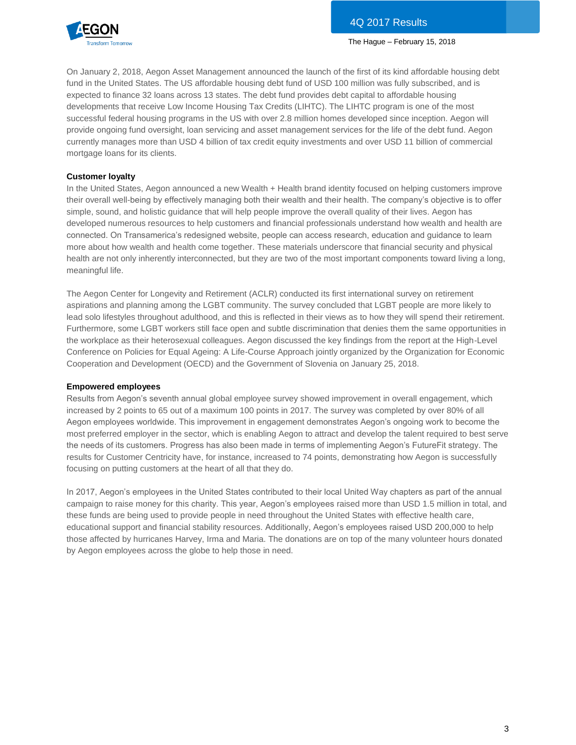

On January 2, 2018, Aegon Asset Management announced the launch of the first of its kind affordable housing debt fund in the United States. The US affordable housing debt fund of USD 100 million was fully subscribed, and is expected to finance 32 loans across 13 states. The debt fund provides debt capital to affordable housing developments that receive Low Income Housing Tax Credits (LIHTC). The LIHTC program is one of the most successful federal housing programs in the US with over 2.8 million homes developed since inception. Aegon will provide ongoing fund oversight, loan servicing and asset management services for the life of the debt fund. Aegon currently manages more than USD 4 billion of tax credit equity investments and over USD 11 billion of commercial mortgage loans for its clients.

#### **Customer loyalty**

In the United States, Aegon announced a new Wealth + Health brand identity focused on helping customers improve their overall well-being by effectively managing both their wealth and their health. The company's objective is to offer simple, sound, and holistic guidance that will help people improve the overall quality of their lives. Aegon has developed numerous resources to help customers and financial professionals understand how wealth and health are connected. On Transamerica's redesigned website, people can access research, education and guidance to learn more about how wealth and health come together. These materials underscore that financial security and physical health are not only inherently interconnected, but they are two of the most important components toward living a long, meaningful life.

The Aegon Center for Longevity and Retirement (ACLR) conducted its first international survey on retirement aspirations and planning among the LGBT community. The survey concluded that LGBT people are more likely to lead solo lifestyles throughout adulthood, and this is reflected in their views as to how they will spend their retirement. Furthermore, some LGBT workers still face open and subtle discrimination that denies them the same opportunities in the workplace as their heterosexual colleagues. Aegon discussed the key findings from the report at the High-Level Conference on Policies for Equal Ageing: A Life-Course Approach jointly organized by the Organization for Economic Cooperation and Development (OECD) and the Government of Slovenia on January 25, 2018.

#### **Empowered employees**

Results from Aegon's seventh annual global employee survey showed improvement in overall engagement, which increased by 2 points to 65 out of a maximum 100 points in 2017. The survey was completed by over 80% of all Aegon employees worldwide. This improvement in engagement demonstrates Aegon's ongoing work to become the most preferred employer in the sector, which is enabling Aegon to attract and develop the talent required to best serve the needs of its customers. Progress has also been made in terms of implementing Aegon's FutureFit strategy. The results for Customer Centricity have, for instance, increased to 74 points, demonstrating how Aegon is successfully focusing on putting customers at the heart of all that they do.

In 2017, Aegon's employees in the United States contributed to their local United Way chapters as part of the annual campaign to raise money for this charity. This year, Aegon's employees raised more than USD 1.5 million in total, and these funds are being used to provide people in need throughout the United States with effective health care, educational support and financial stability resources. Additionally, Aegon's employees raised USD 200,000 to help those affected by hurricanes Harvey, Irma and Maria. The donations are on top of the many volunteer hours donated by Aegon employees across the globe to help those in need.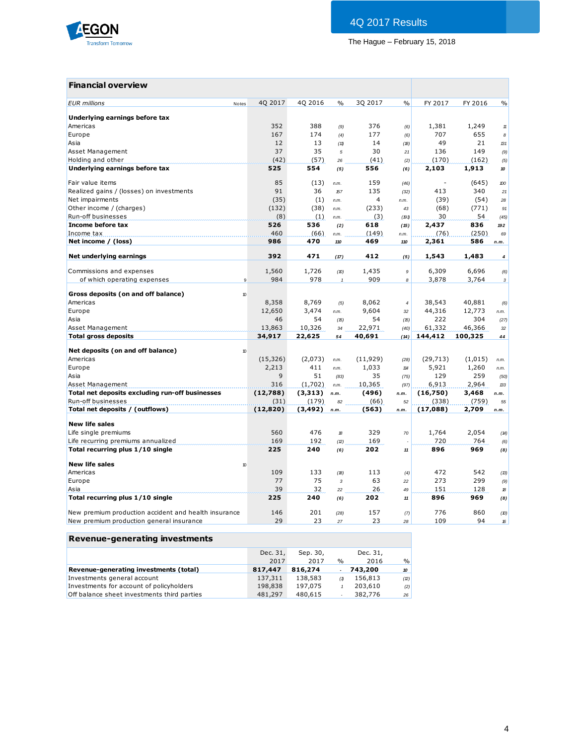

# **Financial overview**

| <b>EUR</b> millions<br>Notes                         | 4Q 2017                      | 4Q 2016      | $\frac{0}{0}$ | 3Q 2017        | $\frac{0}{0}$    | FY 2017   | FY 2016 | $\frac{0}{0}$    |
|------------------------------------------------------|------------------------------|--------------|---------------|----------------|------------------|-----------|---------|------------------|
| Underlying earnings before tax                       |                              |              |               |                |                  |           |         |                  |
| Americas                                             | 352                          | 388          | (9)           | 376            | (6)              | 1,381     | 1,249   | $11\,$           |
| Europe                                               | 167                          | 174          | (4)           | 177            | (6)              | 707       | 655     | 8                |
| Asia                                                 | 12                           | 13           | (11)          | 14             | (18)             | 49        | 21      | 131              |
| Asset Management                                     | 37                           | 35           | 5             | 30             | 21               | 136       | 149     | (9)              |
| Holding and other                                    | (42)                         | (57)         | 26            | (41)           | (2)              | (170)     | (162)   | (5)              |
| Underlying earnings before tax                       | 525                          | 554          | (5)           | 556            | (6)              | 2,103     | 1,913   | 10               |
|                                                      |                              |              |               |                |                  |           |         |                  |
| Fair value items                                     | 85                           | (13)         | n.m.          | 159            | (46)             |           | (645)   | 100              |
| Realized gains / (losses) on investments             | 91                           | 36           | 157           | 135            | (32)             | 413       | 340     | 21               |
| Net impairments                                      | (35)                         | (1)          | n.m.          | $\overline{4}$ | n.m.             | (39)      | (54)    | 28               |
| Other income / (charges)                             | (132)                        | (38)         | n.m.          | (233)          | 43               | (68)      | (771)   | 91               |
| Run-off businesses                                   | (8)                          | (1)          | n.m.          | (3)            | (191)            | 30        | 54      | (45)             |
| Income before tax                                    | 526                          | 536          | (2)           | 618            | (15)             | 2,437     | 836     | 192              |
| Income tax                                           | 460                          | (66)         | n.m.          | (149)          | n.m.             | (76)      | (250)   | 69               |
| Net income / (loss)                                  | 986                          | 470          | 110           | 469            | 110              | 2,361     | 586     | n.m.             |
| Net underlying earnings                              | 392                          | 471          | (17)          | 412            | (5)              | 1,543     | 1,483   | $\boldsymbol{4}$ |
|                                                      |                              |              |               |                |                  | 6,309     |         |                  |
| Commissions and expenses                             | 1,560<br>984<br>$\mathbf{Q}$ | 1,726<br>978 | (D)           | 1,435<br>909   | $\boldsymbol{9}$ |           | 6,696   | (6)              |
| of which operating expenses                          |                              |              | $\mathbf{1}$  |                | 8                | 3,878     | 3,764   | $\mathbf{3}$     |
| Gross deposits (on and off balance)                  | 10                           |              |               |                |                  |           |         |                  |
| Americas                                             | 8,358                        | 8,769        | (5)           | 8,062          | $\boldsymbol{4}$ | 38,543    | 40,881  | (6)              |
| Europe                                               | 12,650                       | 3,474        | n.m.          | 9,604          | 32               | 44,316    | 12,773  | n.m.             |
| Asia                                                 | 46                           | 54           | (15)          | 54             | (15)             | 222       | 304     | (27)             |
| Asset Management                                     | 13,863                       | 10,326       | 34            | 22,971         | (40)             | 61,332    | 46,366  | 32               |
| <b>Total gross deposits</b>                          | 34,917                       | 22,625       | 54            | 40,691         | (14)             | 144,412   | 100,325 | 44               |
| Net deposits (on and off balance)                    | 10                           |              |               |                |                  |           |         |                  |
| Americas                                             | (15, 326)                    | (2,073)      | n.m.          | (11, 929)      | (28)             | (29, 713) | (1,015) | n.m.             |
| Europe                                               | 2,213                        | 411          | n.m.          | 1,033          | 114              | 5,921     | 1,260   | n.m.             |
| Asia                                                 | 9                            | 51           | (83)          | 35             | (75)             | 129       | 259     | (50)             |
| Asset Management                                     | 316                          | (1,702)      | n.m.          | 10,365         | (97)             | 6,913     | 2,964   | 133              |
| Total net deposits excluding run-off businesses      | (12,788)                     | (3,313)      | n.m.          | (496)          | n.m.             | (16,750)  | 3,468   | n.m.             |
| Run-off businesses                                   | (31)                         | (179)        | 82            | (66)           | 52               | (338)     | (759)   | 55               |
| Total net deposits / (outflows)                      | (12, 820)                    | (3, 492)     | n.m.          | (563)          | n.m.             | (17,088)  | 2,709   | n.m.             |
|                                                      |                              |              |               |                |                  |           |         |                  |
| <b>New life sales</b>                                |                              |              |               |                |                  |           |         |                  |
| Life single premiums                                 | 560                          | 476          | $\mathcal{B}$ | 329            | 70               | 1,764     | 2,054   | (14)             |
| Life recurring premiums annualized                   | 169                          | 192          | (2)           | 169            | J.               | 720       | 764     | (6)              |
| Total recurring plus 1/10 single                     | 225                          | 240          | (6)           | 202            | 11               | 896       | 969     | (8)              |
| <b>New life sales</b>                                | 10                           |              |               |                |                  |           |         |                  |
| Americas                                             | 109                          | 133          | (18)          | 113            | (4)              | 472       | 542     | (13)             |
| Europe                                               | 77                           | 75           | 3             | 63             | 22               | 273       | 299     | (9)              |
| Asia                                                 | 39                           | 32           | 22            | 26             | 49               | 151       | 128     | 18               |
| Total recurring plus 1/10 single                     | 225                          | 240          | (6)           | 202            | 11               | 896       | 969     | (8)              |
| New premium production accident and health insurance | 146                          | 201          | (28)          | 157            | (7)              | 776       | 860     | (10)             |
| New premium production general insurance             | 29                           | 23           | 27            | 23             | 28               | 109       | 94      | 16               |
|                                                      |                              |              |               |                |                  |           |         |                  |

### **Revenue-generating investments**

|                                             | Dec. 31, | Sep. 30, |                          | Dec. 31, |                 |
|---------------------------------------------|----------|----------|--------------------------|----------|-----------------|
|                                             | 2017     | 2017     | $\frac{0}{0}$            | 2016     | $\frac{9}{6}$   |
| Revenue-generating investments (total)      | 817,447  | 816,274  |                          | 743,200  | 10 <sup>1</sup> |
| Investments general account                 | 137,311  | 138,583  | (1)                      | 156,813  | (2)             |
| Investments for account of policyholders    | 198,838  | 197.075  |                          | 203,610  | (2)             |
| Off balance sheet investments third parties | 481,297  | 480,615  | $\overline{\phantom{a}}$ | 382,776  | 26              |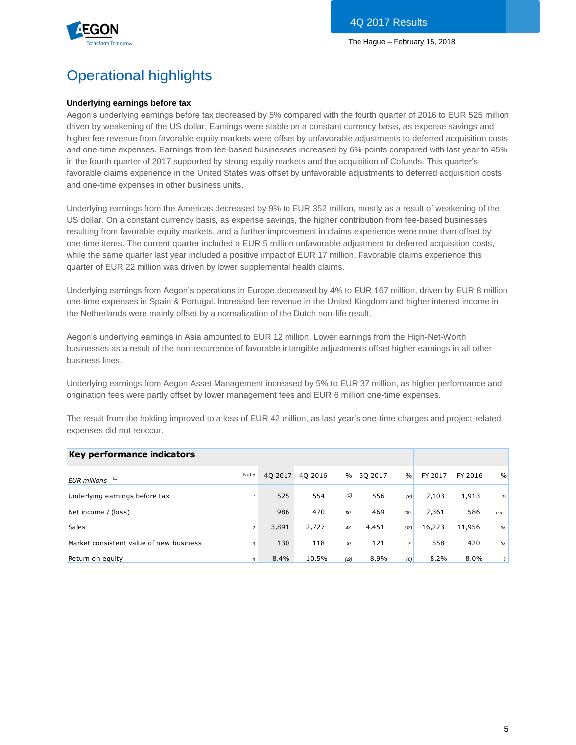

# Operational highlights

#### **Underlying earnings before tax**

Aegon's underlying earnings before tax decreased by 5% compared with the fourth quarter of 2016 to EUR 525 million driven by weakening of the US dollar. Earnings were stable on a constant currency basis, as expense savings and higher fee revenue from favorable equity markets were offset by unfavorable adjustments to deferred acquisition costs and one-time expenses. Earnings from fee-based businesses increased by 6%-points compared with last year to 45% in the fourth quarter of 2017 supported by strong equity markets and the acquisition of Cofunds. This quarter's favorable claims experience in the United States was offset by unfavorable adjustments to deferred acquisition costs and one-time expenses in other business units.

Underlying earnings from the Americas decreased by 9% to EUR 352 million, mostly as a result of weakening of the US dollar. On a constant currency basis, as expense savings, the higher contribution from fee-based businesses resulting from favorable equity markets, and a further improvement in claims experience were more than offset by one-time items. The current quarter included a EUR 5 million unfavorable adjustment to deferred acquisition costs, while the same quarter last year included a positive impact of EUR 17 million. Favorable claims experience this quarter of EUR 22 million was driven by lower supplemental health claims.

Underlying earnings from Aegon's operations in Europe decreased by 4% to EUR 167 million, driven by EUR 8 million one-time expenses in Spain & Portugal. Increased fee revenue in the United Kingdom and higher interest income in the Netherlands were mainly offset by a normalization of the Dutch non-life result.

Aegon's underlying earnings in Asia amounted to EUR 12 million. Lower earnings from the High-Net-Worth businesses as a result of the non-recurrence of favorable intangible adjustments offset higher earnings in all other business lines.

Underlying earnings from Aegon Asset Management increased by 5% to EUR 37 million, as higher performance and origination fees were partly offset by lower management fees and EUR 6 million one-time expenses.

The result from the holding improved to a loss of EUR 42 million, as last year's one-time charges and project-related expenses did not reoccur.

| Key performance indicators              |                |         |         |                  |         |                |         |         |               |
|-----------------------------------------|----------------|---------|---------|------------------|---------|----------------|---------|---------|---------------|
| 13<br><b>EUR</b> millions               | Notes          | 40 2017 | 40 2016 | $\%$             | 30 2017 | $\%$           | FY 2017 | FY 2016 | $\frac{0}{0}$ |
| Underlying earnings before tax          |                | 525     | 554     | (5)              | 556     | (6)            | 2,103   | 1,913   | 10            |
| Net income / (loss)                     |                | 986     | 470     | 110              | 469     | 110            | 2,361   | 586     | n.m.          |
| <b>Sales</b>                            | $\overline{2}$ | 3,891   | 2,727   | 43               | 4,451   | (13)           | 16,223  | 11,956  | 36            |
| Market consistent value of new business | 3              | 130     | 118     | $\boldsymbol{v}$ | 121     | $\overline{7}$ | 558     | 420     | 33            |
| Return on equity                        | $\overline{4}$ | 8.4%    | 10.5%   | (19)             | 8.9%    | (6)            | 8.2%    | $8.0\%$ | 3             |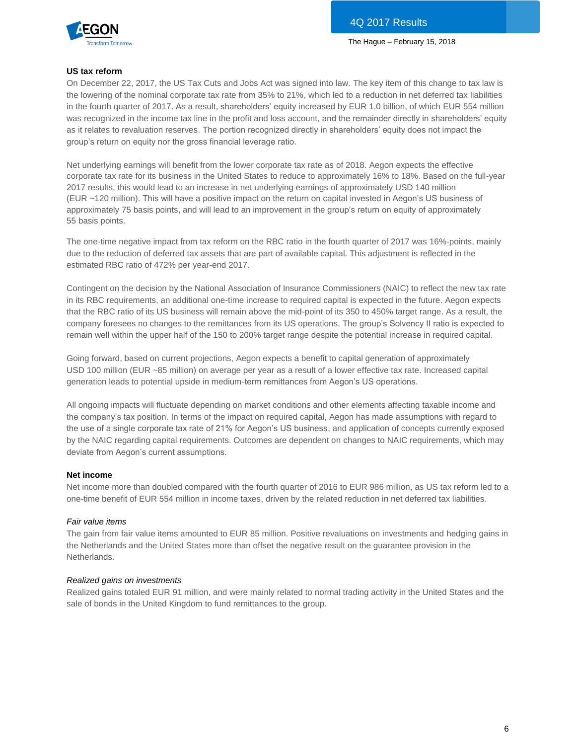



#### **US tax reform**

On December 22, 2017, the US Tax Cuts and Jobs Act was signed into law. The key item of this change to tax law is the lowering of the nominal corporate tax rate from 35% to 21%, which led to a reduction in net deferred tax liabilities in the fourth quarter of 2017. As a result, shareholders' equity increased by EUR 1.0 billion, of which EUR 554 million was recognized in the income tax line in the profit and loss account, and the remainder directly in shareholders' equity as it relates to revaluation reserves. The portion recognized directly in shareholders' equity does not impact the group's return on equity nor the gross financial leverage ratio.

Net underlying earnings will benefit from the lower corporate tax rate as of 2018. Aegon expects the effective corporate tax rate for its business in the United States to reduce to approximately 16% to 18%. Based on the full-year 2017 results, this would lead to an increase in net underlying earnings of approximately USD 140 million (EUR ~120 million). This will have a positive impact on the return on capital invested in Aegon's US business of approximately 75 basis points, and will lead to an improvement in the group's return on equity of approximately 55 basis points.

The one-time negative impact from tax reform on the RBC ratio in the fourth quarter of 2017 was 16%-points, mainly due to the reduction of deferred tax assets that are part of available capital. This adjustment is reflected in the estimated RBC ratio of 472% per year-end 2017.

Contingent on the decision by the National Association of Insurance Commissioners (NAIC) to reflect the new tax rate in its RBC requirements, an additional one-time increase to required capital is expected in the future. Aegon expects that the RBC ratio of its US business will remain above the mid-point of its 350 to 450% target range. As a result, the company foresees no changes to the remittances from its US operations. The group's Solvency II ratio is expected to remain well within the upper half of the 150 to 200% target range despite the potential increase in required capital.

Going forward, based on current projections, Aegon expects a benefit to capital generation of approximately USD 100 million (EUR ~85 million) on average per year as a result of a lower effective tax rate. Increased capital generation leads to potential upside in medium-term remittances from Aegon's US operations.

All ongoing impacts will fluctuate depending on market conditions and other elements affecting taxable income and the company's tax position. In terms of the impact on required capital, Aegon has made assumptions with regard to the use of a single corporate tax rate of 21% for Aegon's US business, and application of concepts currently exposed by the NAIC regarding capital requirements. Outcomes are dependent on changes to NAIC requirements, which may deviate from Aegon's current assumptions.

#### **Net income**

Net income more than doubled compared with the fourth quarter of 2016 to EUR 986 million, as US tax reform led to a one-time benefit of EUR 554 million in income taxes, driven by the related reduction in net deferred tax liabilities.

#### *Fair value items*

The gain from fair value items amounted to EUR 85 million. Positive revaluations on investments and hedging gains in the Netherlands and the United States more than offset the negative result on the guarantee provision in the Netherlands.

#### *Realized gains on investments*

Realized gains totaled EUR 91 million, and were mainly related to normal trading activity in the United States and the sale of bonds in the United Kingdom to fund remittances to the group.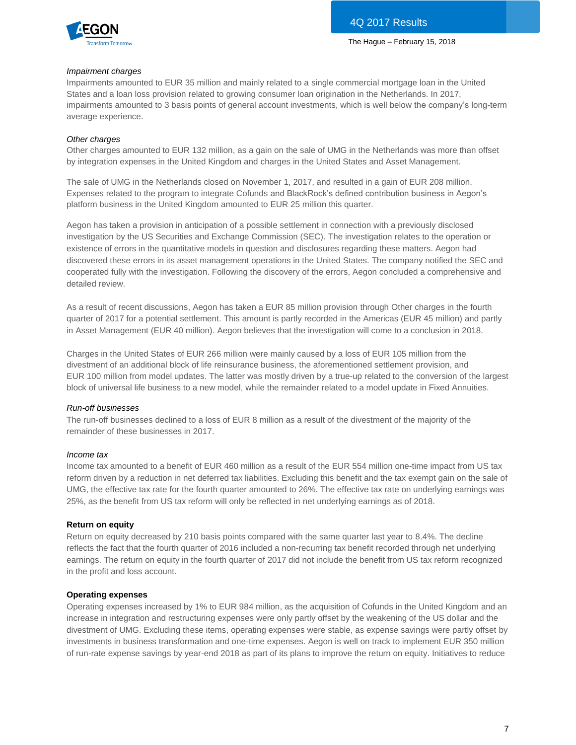

#### *Impairment charges*

Impairments amounted to EUR 35 million and mainly related to a single commercial mortgage loan in the United States and a loan loss provision related to growing consumer loan origination in the Netherlands. In 2017, impairments amounted to 3 basis points of general account investments, which is well below the company's long-term average experience.

#### *Other charges*

Other charges amounted to EUR 132 million, as a gain on the sale of UMG in the Netherlands was more than offset by integration expenses in the United Kingdom and charges in the United States and Asset Management.

The sale of UMG in the Netherlands closed on November 1, 2017, and resulted in a gain of EUR 208 million. Expenses related to the program to integrate Cofunds and BlackRock's defined contribution business in Aegon's platform business in the United Kingdom amounted to EUR 25 million this quarter.

Aegon has taken a provision in anticipation of a possible settlement in connection with a previously disclosed investigation by the US Securities and Exchange Commission (SEC). The investigation relates to the operation or existence of errors in the quantitative models in question and disclosures regarding these matters. Aegon had discovered these errors in its asset management operations in the United States. The company notified the SEC and cooperated fully with the investigation. Following the discovery of the errors, Aegon concluded a comprehensive and detailed review.

As a result of recent discussions, Aegon has taken a EUR 85 million provision through Other charges in the fourth quarter of 2017 for a potential settlement. This amount is partly recorded in the Americas (EUR 45 million) and partly in Asset Management (EUR 40 million). Aegon believes that the investigation will come to a conclusion in 2018.

Charges in the United States of EUR 266 million were mainly caused by a loss of EUR 105 million from the divestment of an additional block of life reinsurance business, the aforementioned settlement provision, and EUR 100 million from model updates. The latter was mostly driven by a true-up related to the conversion of the largest block of universal life business to a new model, while the remainder related to a model update in Fixed Annuities.

#### *Run-off businesses*

The run-off businesses declined to a loss of EUR 8 million as a result of the divestment of the majority of the remainder of these businesses in 2017.

#### *Income tax*

Income tax amounted to a benefit of EUR 460 million as a result of the EUR 554 million one-time impact from US tax reform driven by a reduction in net deferred tax liabilities. Excluding this benefit and the tax exempt gain on the sale of UMG, the effective tax rate for the fourth quarter amounted to 26%. The effective tax rate on underlying earnings was 25%, as the benefit from US tax reform will only be reflected in net underlying earnings as of 2018.

#### **Return on equity**

Return on equity decreased by 210 basis points compared with the same quarter last year to 8.4%. The decline reflects the fact that the fourth quarter of 2016 included a non-recurring tax benefit recorded through net underlying earnings. The return on equity in the fourth quarter of 2017 did not include the benefit from US tax reform recognized in the profit and loss account.

#### **Operating expenses**

Operating expenses increased by 1% to EUR 984 million, as the acquisition of Cofunds in the United Kingdom and an increase in integration and restructuring expenses were only partly offset by the weakening of the US dollar and the divestment of UMG. Excluding these items, operating expenses were stable, as expense savings were partly offset by investments in business transformation and one-time expenses. Aegon is well on track to implement EUR 350 million of run-rate expense savings by year-end 2018 as part of its plans to improve the return on equity. Initiatives to reduce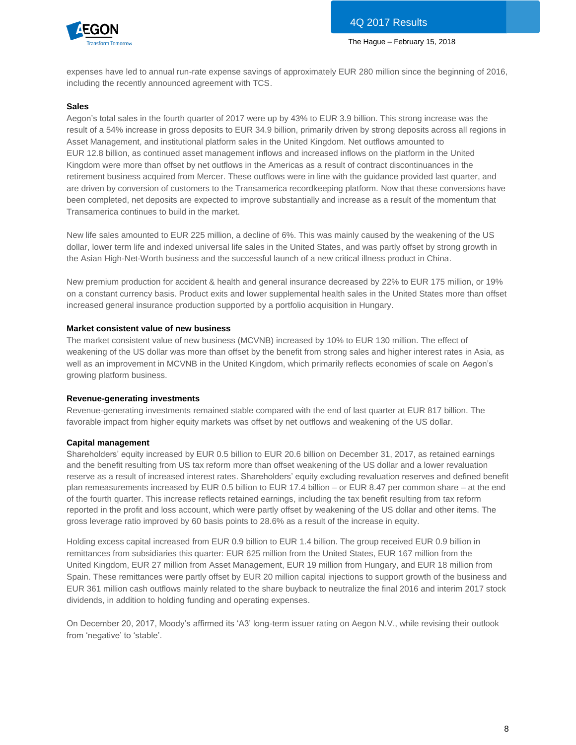

expenses have led to annual run-rate expense savings of approximately EUR 280 million since the beginning of 2016, including the recently announced agreement with TCS.

#### **Sales**

Aegon's total sales in the fourth quarter of 2017 were up by 43% to EUR 3.9 billion. This strong increase was the result of a 54% increase in gross deposits to EUR 34.9 billion, primarily driven by strong deposits across all regions in Asset Management, and institutional platform sales in the United Kingdom. Net outflows amounted to EUR 12.8 billion, as continued asset management inflows and increased inflows on the platform in the United Kingdom were more than offset by net outflows in the Americas as a result of contract discontinuances in the retirement business acquired from Mercer. These outflows were in line with the guidance provided last quarter, and are driven by conversion of customers to the Transamerica recordkeeping platform. Now that these conversions have been completed, net deposits are expected to improve substantially and increase as a result of the momentum that Transamerica continues to build in the market.

New life sales amounted to EUR 225 million, a decline of 6%. This was mainly caused by the weakening of the US dollar, lower term life and indexed universal life sales in the United States, and was partly offset by strong growth in the Asian High-Net-Worth business and the successful launch of a new critical illness product in China.

New premium production for accident & health and general insurance decreased by 22% to EUR 175 million, or 19% on a constant currency basis. Product exits and lower supplemental health sales in the United States more than offset increased general insurance production supported by a portfolio acquisition in Hungary.

#### **Market consistent value of new business**

The market consistent value of new business (MCVNB) increased by 10% to EUR 130 million. The effect of weakening of the US dollar was more than offset by the benefit from strong sales and higher interest rates in Asia, as well as an improvement in MCVNB in the United Kingdom, which primarily reflects economies of scale on Aegon's growing platform business.

#### **Revenue-generating investments**

Revenue-generating investments remained stable compared with the end of last quarter at EUR 817 billion. The favorable impact from higher equity markets was offset by net outflows and weakening of the US dollar.

#### **Capital management**

Shareholders' equity increased by EUR 0.5 billion to EUR 20.6 billion on December 31, 2017, as retained earnings and the benefit resulting from US tax reform more than offset weakening of the US dollar and a lower revaluation reserve as a result of increased interest rates. Shareholders' equity excluding revaluation reserves and defined benefit plan remeasurements increased by EUR 0.5 billion to EUR 17.4 billion – or EUR 8.47 per common share – at the end of the fourth quarter. This increase reflects retained earnings, including the tax benefit resulting from tax reform reported in the profit and loss account, which were partly offset by weakening of the US dollar and other items. The gross leverage ratio improved by 60 basis points to 28.6% as a result of the increase in equity.

Holding excess capital increased from EUR 0.9 billion to EUR 1.4 billion. The group received EUR 0.9 billion in remittances from subsidiaries this quarter: EUR 625 million from the United States, EUR 167 million from the United Kingdom, EUR 27 million from Asset Management, EUR 19 million from Hungary, and EUR 18 million from Spain. These remittances were partly offset by EUR 20 million capital injections to support growth of the business and EUR 361 million cash outflows mainly related to the share buyback to neutralize the final 2016 and interim 2017 stock dividends, in addition to holding funding and operating expenses.

On December 20, 2017, Moody's affirmed its 'A3' long-term issuer rating on Aegon N.V., while revising their outlook from 'negative' to 'stable'.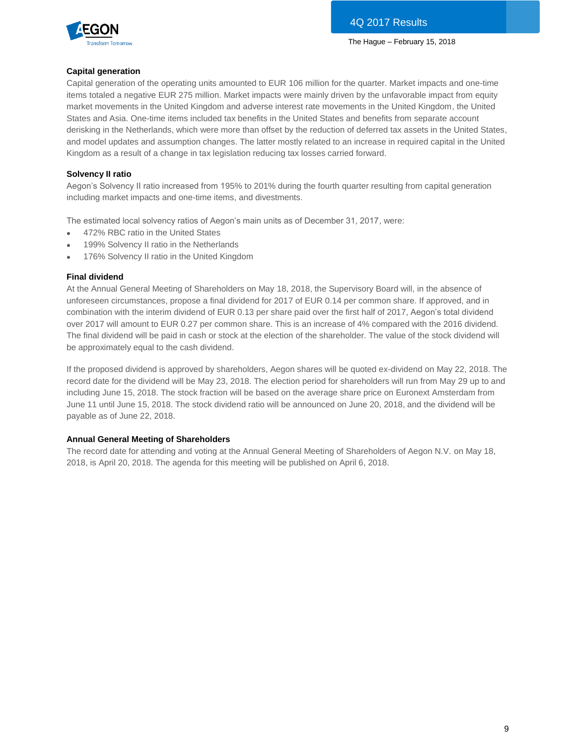

#### **Capital generation**

Capital generation of the operating units amounted to EUR 106 million for the quarter. Market impacts and one-time items totaled a negative EUR 275 million. Market impacts were mainly driven by the unfavorable impact from equity market movements in the United Kingdom and adverse interest rate movements in the United Kingdom, the United States and Asia. One-time items included tax benefits in the United States and benefits from separate account derisking in the Netherlands, which were more than offset by the reduction of deferred tax assets in the United States, and model updates and assumption changes. The latter mostly related to an increase in required capital in the United Kingdom as a result of a change in tax legislation reducing tax losses carried forward.

#### **Solvency II ratio**

Aegon's Solvency II ratio increased from 195% to 201% during the fourth quarter resulting from capital generation including market impacts and one-time items, and divestments.

The estimated local solvency ratios of Aegon's main units as of December 31, 2017, were:

- 472% RBC ratio in the United States
- 199% Solvency II ratio in the Netherlands
- 176% Solvency II ratio in the United Kingdom

#### **Final dividend**

At the Annual General Meeting of Shareholders on May 18, 2018, the Supervisory Board will, in the absence of unforeseen circumstances, propose a final dividend for 2017 of EUR 0.14 per common share. If approved, and in combination with the interim dividend of EUR 0.13 per share paid over the first half of 2017, Aegon's total dividend over 2017 will amount to EUR 0.27 per common share. This is an increase of 4% compared with the 2016 dividend. The final dividend will be paid in cash or stock at the election of the shareholder. The value of the stock dividend will be approximately equal to the cash dividend.

If the proposed dividend is approved by shareholders, Aegon shares will be quoted ex-dividend on May 22, 2018. The record date for the dividend will be May 23, 2018. The election period for shareholders will run from May 29 up to and including June 15, 2018. The stock fraction will be based on the average share price on Euronext Amsterdam from June 11 until June 15, 2018. The stock dividend ratio will be announced on June 20, 2018, and the dividend will be payable as of June 22, 2018.

#### **Annual General Meeting of Shareholders**

The record date for attending and voting at the Annual General Meeting of Shareholders of Aegon N.V. on May 18, 2018, is April 20, 2018. The agenda for this meeting will be published on April 6, 2018.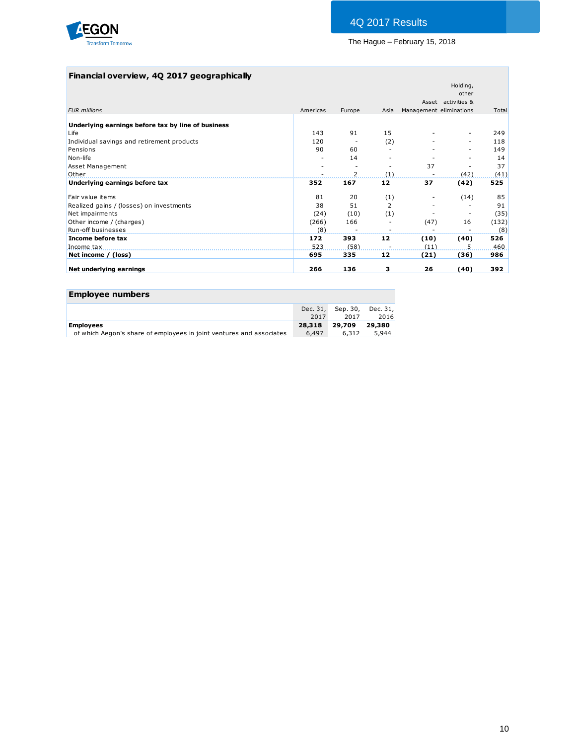

### **Financial overview, 4Q 2017 geographically**

| Americas |                |      |                         | other<br>Asset activities & |       |
|----------|----------------|------|-------------------------|-----------------------------|-------|
|          |                |      |                         |                             |       |
|          | Europe         | Asia | Management eliminations |                             | Total |
|          |                |      |                         |                             |       |
|          |                |      |                         |                             |       |
| 143      | 91             | 15   |                         | ٠                           | 249   |
| 120      |                | (2)  |                         | $\sim$                      | 118   |
| 90       | 60             |      |                         |                             | 149   |
|          | 14             |      |                         | $\overline{\phantom{a}}$    | 14    |
|          |                |      | 37                      |                             | 37    |
|          | $\overline{2}$ | (1)  |                         | (42)                        | (41)  |
| 352      | 167            | 12   | 37                      | (42)                        | 525   |
| 81       | 20             | (1)  |                         | (14)                        | 85    |
| 38       | 51             | 2    |                         |                             | 91    |
| (24)     | (10)           | (1)  |                         | $\overline{\phantom{a}}$    | (35)  |
| (266)    | 166            |      | (47)                    | 16                          | (132) |
| (8)      |                |      |                         |                             | (8)   |
| 172      | 393            | 12   | (10)                    | (40)                        | 526   |
| 523      | (58)           |      | (11)                    | 5                           | 460   |
| 695      | 335            | 12   | (21)                    | (36)                        | 986   |
| 266      | 136            | з    | 26                      | (40)                        | 392   |
|          |                |      |                         |                             |       |

| <b>Employee numbers</b>                                              |        |                            |        |
|----------------------------------------------------------------------|--------|----------------------------|--------|
|                                                                      |        | Dec. 31, Sep. 30, Dec. 31, |        |
|                                                                      | 2017   | 2017                       | 2016   |
| <b>Employees</b>                                                     | 28,318 | 29,709                     | 29,380 |
| of which Aegon's share of employees in joint ventures and associates | 6.497  | 6,312                      | 5,944  |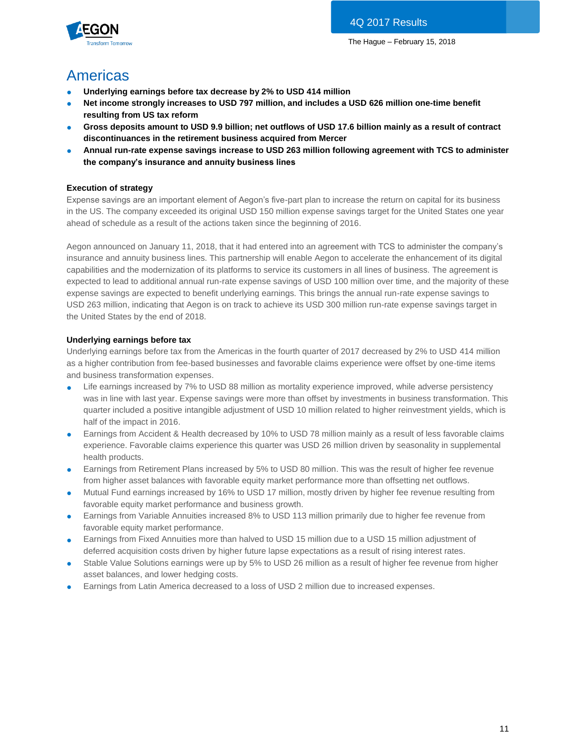



# Americas

- **Underlying earnings before tax decrease by 2% to USD 414 million**
- Net income strongly increases to USD 797 million, and includes a USD 626 million one-time benefit **resulting from US tax reform**
- **Gross deposits amount to USD 9.9 billion; net outflows of USD 17.6 billion mainly as a result of contract discontinuances in the retirement business acquired from Mercer**
- **Annual run-rate expense savings increase to USD 263 million following agreement with TCS to administer the company's insurance and annuity business lines**

### **Execution of strategy**

Expense savings are an important element of Aegon's five-part plan to increase the return on capital for its business in the US. The company exceeded its original USD 150 million expense savings target for the United States one year ahead of schedule as a result of the actions taken since the beginning of 2016.

Aegon announced on January 11, 2018, that it had entered into an agreement with TCS to administer the company's insurance and annuity business lines. This partnership will enable Aegon to accelerate the enhancement of its digital capabilities and the modernization of its platforms to service its customers in all lines of business. The agreement is expected to lead to additional annual run-rate expense savings of USD 100 million over time, and the majority of these expense savings are expected to benefit underlying earnings. This brings the annual run-rate expense savings to USD 263 million, indicating that Aegon is on track to achieve its USD 300 million run-rate expense savings target in the United States by the end of 2018.

### **Underlying earnings before tax**

Underlying earnings before tax from the Americas in the fourth quarter of 2017 decreased by 2% to USD 414 million as a higher contribution from fee-based businesses and favorable claims experience were offset by one-time items and business transformation expenses.

- Life earnings increased by 7% to USD 88 million as mortality experience improved, while adverse persistency was in line with last year. Expense savings were more than offset by investments in business transformation. This quarter included a positive intangible adjustment of USD 10 million related to higher reinvestment yields, which is half of the impact in 2016.
- Earnings from Accident & Health decreased by 10% to USD 78 million mainly as a result of less favorable claims experience. Favorable claims experience this quarter was USD 26 million driven by seasonality in supplemental health products.
- Earnings from Retirement Plans increased by 5% to USD 80 million. This was the result of higher fee revenue from higher asset balances with favorable equity market performance more than offsetting net outflows.
- Mutual Fund earnings increased by 16% to USD 17 million, mostly driven by higher fee revenue resulting from favorable equity market performance and business growth.
- Earnings from Variable Annuities increased 8% to USD 113 million primarily due to higher fee revenue from favorable equity market performance.
- Earnings from Fixed Annuities more than halved to USD 15 million due to a USD 15 million adjustment of deferred acquisition costs driven by higher future lapse expectations as a result of rising interest rates.
- Stable Value Solutions earnings were up by 5% to USD 26 million as a result of higher fee revenue from higher asset balances, and lower hedging costs.
- Earnings from Latin America decreased to a loss of USD 2 million due to increased expenses.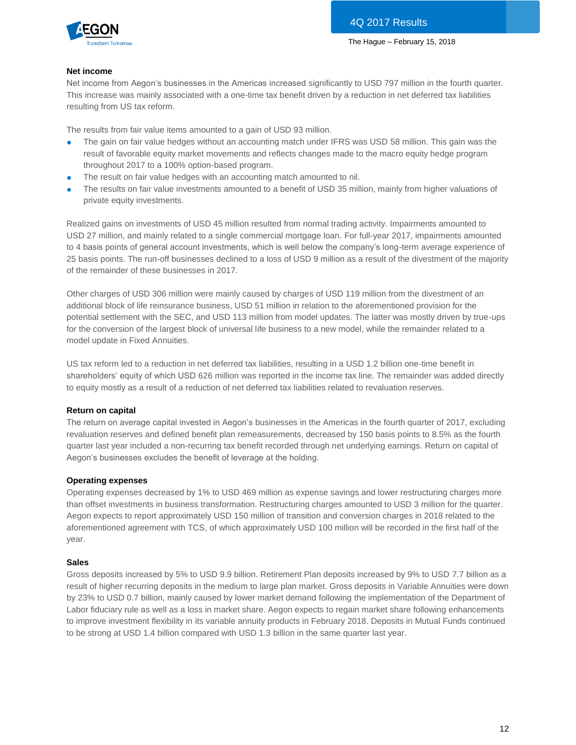

#### **Net income**

Net income from Aegon's businesses in the Americas increased significantly to USD 797 million in the fourth quarter. This increase was mainly associated with a one-time tax benefit driven by a reduction in net deferred tax liabilities resulting from US tax reform.

The results from fair value items amounted to a gain of USD 93 million.

- The gain on fair value hedges without an accounting match under IFRS was USD 58 million. This gain was the result of favorable equity market movements and reflects changes made to the macro equity hedge program throughout 2017 to a 100% option-based program.
- The result on fair value hedges with an accounting match amounted to nil.
- The results on fair value investments amounted to a benefit of USD 35 million, mainly from higher valuations of private equity investments.

Realized gains on investments of USD 45 million resulted from normal trading activity. Impairments amounted to USD 27 million, and mainly related to a single commercial mortgage loan. For full-year 2017, impairments amounted to 4 basis points of general account investments, which is well below the company's long-term average experience of 25 basis points. The run-off businesses declined to a loss of USD 9 million as a result of the divestment of the majority of the remainder of these businesses in 2017.

Other charges of USD 306 million were mainly caused by charges of USD 119 million from the divestment of an additional block of life reinsurance business, USD 51 million in relation to the aforementioned provision for the potential settlement with the SEC, and USD 113 million from model updates. The latter was mostly driven by true-ups for the conversion of the largest block of universal life business to a new model, while the remainder related to a model update in Fixed Annuities.

US tax reform led to a reduction in net deferred tax liabilities, resulting in a USD 1.2 billion one-time benefit in shareholders' equity of which USD 626 million was reported in the income tax line. The remainder was added directly to equity mostly as a result of a reduction of net deferred tax liabilities related to revaluation reserves.

#### **Return on capital**

The return on average capital invested in Aegon's businesses in the Americas in the fourth quarter of 2017, excluding revaluation reserves and defined benefit plan remeasurements, decreased by 150 basis points to 8.5% as the fourth quarter last year included a non-recurring tax benefit recorded through net underlying earnings. Return on capital of Aegon's businesses excludes the benefit of leverage at the holding.

#### **Operating expenses**

Operating expenses decreased by 1% to USD 469 million as expense savings and lower restructuring charges more than offset investments in business transformation. Restructuring charges amounted to USD 3 million for the quarter. Aegon expects to report approximately USD 150 million of transition and conversion charges in 2018 related to the aforementioned agreement with TCS, of which approximately USD 100 million will be recorded in the first half of the year.

#### **Sales**

Gross deposits increased by 5% to USD 9.9 billion. Retirement Plan deposits increased by 9% to USD 7.7 billion as a result of higher recurring deposits in the medium to large plan market. Gross deposits in Variable Annuities were down by 23% to USD 0.7 billion, mainly caused by lower market demand following the implementation of the Department of Labor fiduciary rule as well as a loss in market share. Aegon expects to regain market share following enhancements to improve investment flexibility in its variable annuity products in February 2018. Deposits in Mutual Funds continued to be strong at USD 1.4 billion compared with USD 1.3 billion in the same quarter last year.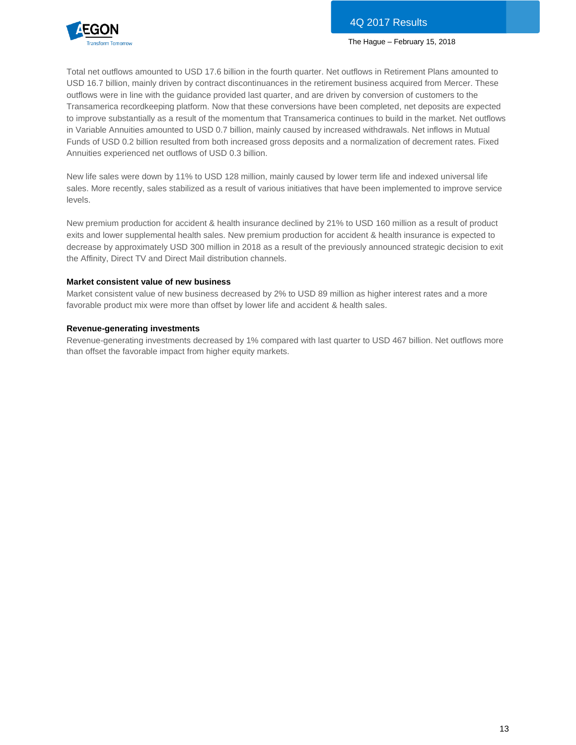

Total net outflows amounted to USD 17.6 billion in the fourth quarter. Net outflows in Retirement Plans amounted to USD 16.7 billion, mainly driven by contract discontinuances in the retirement business acquired from Mercer. These outflows were in line with the guidance provided last quarter, and are driven by conversion of customers to the Transamerica recordkeeping platform. Now that these conversions have been completed, net deposits are expected to improve substantially as a result of the momentum that Transamerica continues to build in the market. Net outflows in Variable Annuities amounted to USD 0.7 billion, mainly caused by increased withdrawals. Net inflows in Mutual Funds of USD 0.2 billion resulted from both increased gross deposits and a normalization of decrement rates. Fixed Annuities experienced net outflows of USD 0.3 billion.

New life sales were down by 11% to USD 128 million, mainly caused by lower term life and indexed universal life sales. More recently, sales stabilized as a result of various initiatives that have been implemented to improve service levels.

New premium production for accident & health insurance declined by 21% to USD 160 million as a result of product exits and lower supplemental health sales. New premium production for accident & health insurance is expected to decrease by approximately USD 300 million in 2018 as a result of the previously announced strategic decision to exit the Affinity, Direct TV and Direct Mail distribution channels.

#### **Market consistent value of new business**

Market consistent value of new business decreased by 2% to USD 89 million as higher interest rates and a more favorable product mix were more than offset by lower life and accident & health sales.

#### **Revenue-generating investments**

Revenue-generating investments decreased by 1% compared with last quarter to USD 467 billion. Net outflows more than offset the favorable impact from higher equity markets.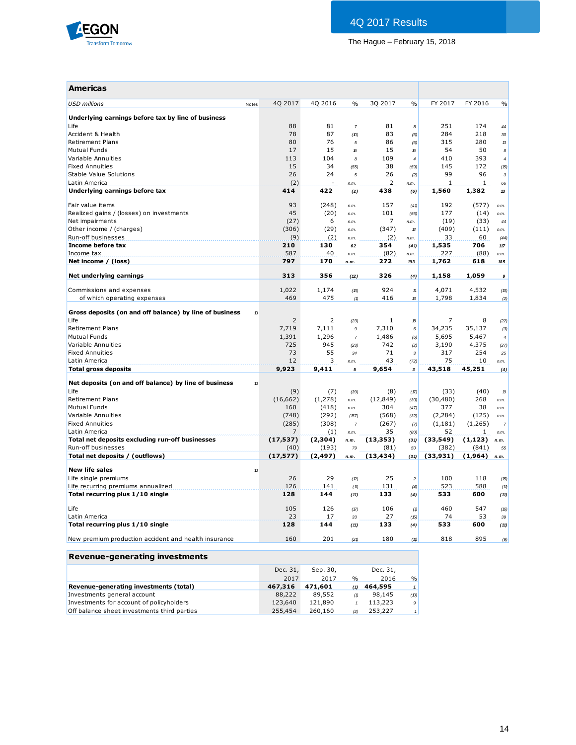

| <b>Americas</b>                                         |                   |                   |                        |                      |                      |                    |                   |                    |
|---------------------------------------------------------|-------------------|-------------------|------------------------|----------------------|----------------------|--------------------|-------------------|--------------------|
| <b>USD</b> millions<br>Notes                            | 40 2017           | 40 2016           | $\%$                   | 30 2017              | $\frac{0}{0}$        | FY 2017            | FY 2016           | $\frac{0}{0}$      |
| Underlying earnings before tax by line of business      |                   |                   |                        |                      |                      |                    |                   |                    |
| Life                                                    | 88                | 81                | $\overline{7}$         | 81                   | 8                    | 251                | 174               | 44                 |
| Accident & Health                                       | 78                | 87                | (D)                    | 83                   | (6)                  | 284                | 218               | 30                 |
| <b>Retirement Plans</b>                                 | 80                | 76                | 5                      | 86                   | (6)                  | 315                | 280               | $\mathcal B$       |
| <b>Mutual Funds</b>                                     | 17                | 15                | $\mathcal{E}$          | 15                   | 16                   | 54                 | 50                | $\boldsymbol{s}$   |
| Variable Annuities                                      | 113               | 104               | 8                      | 109                  | $\overline{4}$       | 410                | 393               | $\overline{\bf 4}$ |
| <b>Fixed Annuities</b>                                  | 15                | 34                | (55)                   | 38                   | (59)                 | 145                | 172               | (15)               |
| Stable Value Solutions<br>Latin America                 | 26<br>(2)         | 24                | 5                      | 26<br>$\overline{2}$ | (2)                  | 99<br>$\mathbf 1$  | 96<br>$\mathbf 1$ | $\mathbf{3}$       |
| Underlying earnings before tax                          | 414               | 422               | n.m.<br>(2)            | 438                  | n.m.<br>(6)          | 1,560              | 1,382             | 66<br>13           |
|                                                         |                   |                   |                        |                      |                      |                    |                   |                    |
| Fair value items                                        | 93                | (248)             | n.m.                   | 157                  | (41)                 | 192                | (577)             | n.m.               |
| Realized gains / (losses) on investments                | 45                | (20)              | n.m.                   | 101                  | (56)                 | 177                | (14)              | n.m.               |
| Net impairments                                         | (27)              | 6                 | n.m.                   | 7                    | n.m.                 | (19)               | (33)              | 44                 |
| Other income / (charges)                                | (306)             | (29)              | n.m.                   | (347)                | $\boldsymbol{v}$     | (409)              | (111)             | n.m.               |
| Run-off businesses                                      | (9)               | (2)               | n.m.                   | (2)                  | n.m.                 | 33                 | 60                | (44)               |
| Income before tax                                       | 210               | 130               | 62                     | 354                  | (41)                 | 1,535              | 706               | 117                |
| Income tax                                              | 587               | 40                | n.m.                   | (82)                 | n.m.                 | 227                | (88)              | n.m.               |
| Net income / (loss)                                     | 797               | 170               | n.m.                   | 272                  | 193                  | 1,762              | 618               | 185                |
| Net underlying earnings                                 | 313               | 356               | (12)                   | 326                  | (4)                  | 1,158              | 1,059             | 9                  |
| Commissions and expenses                                | 1,022             | 1,174             | (13)                   | 924                  | $11\,$               | 4,071              | 4,532             | (10)               |
| of which operating expenses                             | 469               | 475               | (1)                    | 416                  | 13                   | 1,798              | 1,834             | (2)                |
|                                                         |                   |                   |                        |                      |                      |                    |                   |                    |
| Gross deposits (on and off balance) by line of business | 10                |                   |                        |                      |                      |                    |                   |                    |
| Life<br><b>Retirement Plans</b>                         | 2                 | 2                 | (23)                   | 1                    | 18                   | 7                  | 8                 | (22)               |
| Mutual Funds                                            | 7,719<br>1,391    | 7,111<br>1,296    | $\boldsymbol{9}$       | 7,310                | $\boldsymbol{6}$     | 34,235             | 35,137            | (3)                |
| Variable Annuities                                      | 725               | 945               | $\overline{7}$<br>(23) | 1,486<br>742         | (6)                  | 5,695<br>3,190     | 5,467<br>4,375    | $\overline{4}$     |
| <b>Fixed Annuities</b>                                  | 73                | 55                | 34                     | 71                   | (2)<br>$\mathcal{R}$ | 317                | 254               | (27)<br>25         |
| Latin America                                           | 12                | 3                 | n.m.                   | 43                   | (72)                 | 75                 | 10                | n.m.               |
| <b>Total gross deposits</b>                             | 9,923             | 9,411             | 5                      | 9,654                | 3                    | 43,518             | 45,251            | (4)                |
|                                                         |                   |                   |                        |                      |                      |                    |                   |                    |
| Net deposits (on and off balance) by line of business   | 10                |                   |                        |                      |                      |                    |                   |                    |
| Life                                                    | (9)               | (7)               | (39)                   | (8)                  | (17)                 | (33)               | (40)              | $\boldsymbol{p}$   |
| <b>Retirement Plans</b>                                 | (16, 662)         | (1,278)           | n.m.                   | (12, 849)            | (30)                 | (30, 480)          | 268               | n.m.               |
| <b>Mutual Funds</b>                                     | 160               | (418)             | n.m.                   | 304                  | (47)                 | 377                | 38                | n.m.               |
| Variable Annuities                                      | (748)             | (292)             | (57)                   | (568)                | (32)                 | (2, 284)           | (125)             | n.m.               |
| <b>Fixed Annuities</b>                                  | (285)             | (308)             | $\overline{7}$         | (267)                | (7)                  | (1, 181)           | (1,265)           | $\overline{7}$     |
| Latin America                                           | 7                 | (1)               | n.m.                   | 35                   | (80)                 | 52                 | 1                 | n.m.               |
| Total net deposits excluding run-off businesses         | (17, 537)         | (2,304)           | n.m.                   | (13, 353)            | (31)                 | (33,549)           | (1, 123)          | n.m.               |
| Run-off businesses<br>Total net deposits / (outflows)   | (40)<br>(17, 577) | (193)<br>(2, 497) | 79                     | (81)<br>(13, 434)    | 50                   | (382)<br>(33, 931) | (841)<br>(1,964)  | 55                 |
|                                                         |                   |                   | n.m.                   |                      | (31)                 |                    |                   | n.m.               |
| <b>New life sales</b>                                   | 10                |                   |                        |                      |                      |                    |                   |                    |
| Life single premiums                                    | 26                | 29                | (2)                    | 25                   | $\sqrt{2}$           | 100                | 118               | (15)               |
| Life recurring premiums annualized                      | 126               | 141               | (11)                   | 131                  | (4)                  | 523                | 588               | (11)               |
| Total recurring plus 1/10 single                        | 128               | 144               | (11)                   | 133                  | (4)                  | 533                | 600               | (11)               |
| Life                                                    | 105               | 126               | (17)                   | 106                  | (1)                  | 460                | 547               | (16)               |
| Latin America                                           | 23                | 17                | 33                     | 27                   | (15)                 | 74                 | 53                | 39                 |
| Total recurring plus 1/10 single                        | 128               | 144               | (11)                   | 133                  | (4)                  | 533                | 600               | (11)               |
| New premium production accident and health insurance    | 160               | 201               | (21)                   | 180                  | (11)                 | 818                | 895               | (9)                |

### **Revenue-generating investments**

|                                             | Dec. 31, | Sep. 30, |               | Dec. 31, |               |
|---------------------------------------------|----------|----------|---------------|----------|---------------|
|                                             | 2017     | 2017     | $\frac{0}{0}$ | 2016     | $\frac{0}{0}$ |
| Revenue-generating investments (total)      | 467.316  | 471.601  | (1)           | 464,595  | $\mathbf{1}$  |
| Investments general account                 | 88,222   | 89,552   | (1)           | 98,145   | (10)          |
| Investments for account of policyholders    | 123,640  | 121,890  |               | 113,223  | 9             |
| Off balance sheet investments third parties | 255,454  | 260,160  | (2)           | 253,227  |               |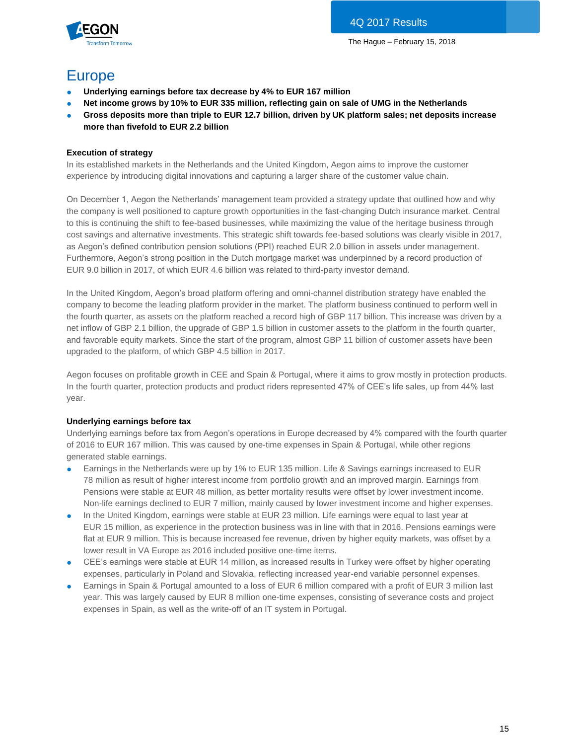

# Europe

- **Underlying earnings before tax decrease by 4% to EUR 167 million**
- **Net income grows by 10% to EUR 335 million, reflecting gain on sale of UMG in the Netherlands**
- **Gross deposits more than triple to EUR 12.7 billion, driven by UK platform sales; net deposits increase more than fivefold to EUR 2.2 billion**

#### **Execution of strategy**

In its established markets in the Netherlands and the United Kingdom, Aegon aims to improve the customer experience by introducing digital innovations and capturing a larger share of the customer value chain.

On December 1, Aegon the Netherlands' management team provided a strategy update that outlined how and why the company is well positioned to capture growth opportunities in the fast-changing Dutch insurance market. Central to this is continuing the shift to fee-based businesses, while maximizing the value of the heritage business through cost savings and alternative investments. This strategic shift towards fee-based solutions was clearly visible in 2017, as Aegon's defined contribution pension solutions (PPI) reached EUR 2.0 billion in assets under management. Furthermore, Aegon's strong position in the Dutch mortgage market was underpinned by a record production of EUR 9.0 billion in 2017, of which EUR 4.6 billion was related to third-party investor demand.

In the United Kingdom, Aegon's broad platform offering and omni-channel distribution strategy have enabled the company to become the leading platform provider in the market. The platform business continued to perform well in the fourth quarter, as assets on the platform reached a record high of GBP 117 billion. This increase was driven by a net inflow of GBP 2.1 billion, the upgrade of GBP 1.5 billion in customer assets to the platform in the fourth quarter, and favorable equity markets. Since the start of the program, almost GBP 11 billion of customer assets have been upgraded to the platform, of which GBP 4.5 billion in 2017.

Aegon focuses on profitable growth in CEE and Spain & Portugal, where it aims to grow mostly in protection products. In the fourth quarter, protection products and product riders represented 47% of CEE's life sales, up from 44% last year.

#### **Underlying earnings before tax**

Underlying earnings before tax from Aegon's operations in Europe decreased by 4% compared with the fourth quarter of 2016 to EUR 167 million. This was caused by one-time expenses in Spain & Portugal, while other regions generated stable earnings.

- Earnings in the Netherlands were up by 1% to EUR 135 million. Life & Savings earnings increased to EUR 78 million as result of higher interest income from portfolio growth and an improved margin. Earnings from Pensions were stable at EUR 48 million, as better mortality results were offset by lower investment income. Non-life earnings declined to EUR 7 million, mainly caused by lower investment income and higher expenses.
- In the United Kingdom, earnings were stable at EUR 23 million. Life earnings were equal to last year at EUR 15 million, as experience in the protection business was in line with that in 2016. Pensions earnings were flat at EUR 9 million. This is because increased fee revenue, driven by higher equity markets, was offset by a lower result in VA Europe as 2016 included positive one-time items.
- CEE's earnings were stable at EUR 14 million, as increased results in Turkey were offset by higher operating expenses, particularly in Poland and Slovakia, reflecting increased year-end variable personnel expenses.
- Earnings in Spain & Portugal amounted to a loss of EUR 6 million compared with a profit of EUR 3 million last year. This was largely caused by EUR 8 million one-time expenses, consisting of severance costs and project expenses in Spain, as well as the write-off of an IT system in Portugal.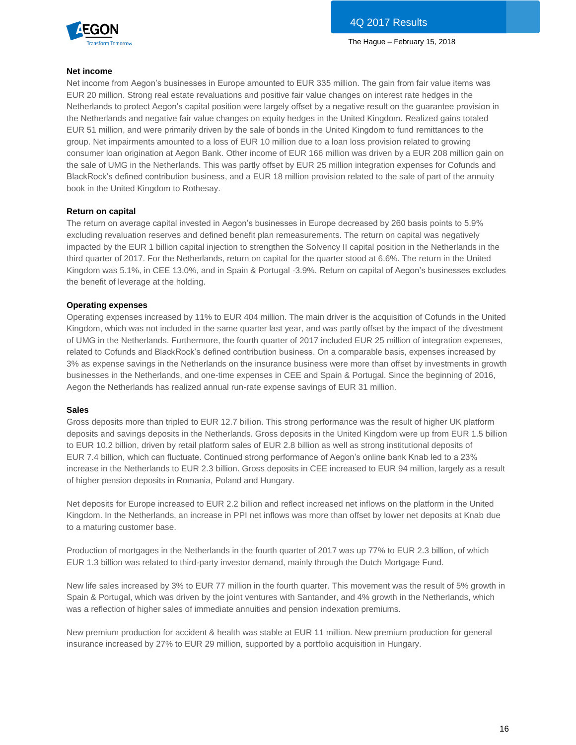

#### **Net income**

Net income from Aegon's businesses in Europe amounted to EUR 335 million. The gain from fair value items was EUR 20 million. Strong real estate revaluations and positive fair value changes on interest rate hedges in the Netherlands to protect Aegon's capital position were largely offset by a negative result on the guarantee provision in the Netherlands and negative fair value changes on equity hedges in the United Kingdom. Realized gains totaled EUR 51 million, and were primarily driven by the sale of bonds in the United Kingdom to fund remittances to the group. Net impairments amounted to a loss of EUR 10 million due to a loan loss provision related to growing consumer loan origination at Aegon Bank. Other income of EUR 166 million was driven by a EUR 208 million gain on the sale of UMG in the Netherlands. This was partly offset by EUR 25 million integration expenses for Cofunds and BlackRock's defined contribution business, and a EUR 18 million provision related to the sale of part of the annuity book in the United Kingdom to Rothesay.

#### **Return on capital**

The return on average capital invested in Aegon's businesses in Europe decreased by 260 basis points to 5.9% excluding revaluation reserves and defined benefit plan remeasurements. The return on capital was negatively impacted by the EUR 1 billion capital injection to strengthen the Solvency II capital position in the Netherlands in the third quarter of 2017. For the Netherlands, return on capital for the quarter stood at 6.6%. The return in the United Kingdom was 5.1%, in CEE 13.0%, and in Spain & Portugal -3.9%. Return on capital of Aegon's businesses excludes the benefit of leverage at the holding.

#### **Operating expenses**

Operating expenses increased by 11% to EUR 404 million. The main driver is the acquisition of Cofunds in the United Kingdom, which was not included in the same quarter last year, and was partly offset by the impact of the divestment of UMG in the Netherlands. Furthermore, the fourth quarter of 2017 included EUR 25 million of integration expenses, related to Cofunds and BlackRock's defined contribution business. On a comparable basis, expenses increased by 3% as expense savings in the Netherlands on the insurance business were more than offset by investments in growth businesses in the Netherlands, and one-time expenses in CEE and Spain & Portugal. Since the beginning of 2016, Aegon the Netherlands has realized annual run-rate expense savings of EUR 31 million.

#### **Sales**

Gross deposits more than tripled to EUR 12.7 billion. This strong performance was the result of higher UK platform deposits and savings deposits in the Netherlands. Gross deposits in the United Kingdom were up from EUR 1.5 billion to EUR 10.2 billion, driven by retail platform sales of EUR 2.8 billion as well as strong institutional deposits of EUR 7.4 billion, which can fluctuate. Continued strong performance of Aegon's online bank Knab led to a 23% increase in the Netherlands to EUR 2.3 billion. Gross deposits in CEE increased to EUR 94 million, largely as a result of higher pension deposits in Romania, Poland and Hungary.

Net deposits for Europe increased to EUR 2.2 billion and reflect increased net inflows on the platform in the United Kingdom. In the Netherlands, an increase in PPI net inflows was more than offset by lower net deposits at Knab due to a maturing customer base.

Production of mortgages in the Netherlands in the fourth quarter of 2017 was up 77% to EUR 2.3 billion, of which EUR 1.3 billion was related to third-party investor demand, mainly through the Dutch Mortgage Fund.

New life sales increased by 3% to EUR 77 million in the fourth quarter. This movement was the result of 5% growth in Spain & Portugal, which was driven by the joint ventures with Santander, and 4% growth in the Netherlands, which was a reflection of higher sales of immediate annuities and pension indexation premiums.

New premium production for accident & health was stable at EUR 11 million. New premium production for general insurance increased by 27% to EUR 29 million, supported by a portfolio acquisition in Hungary.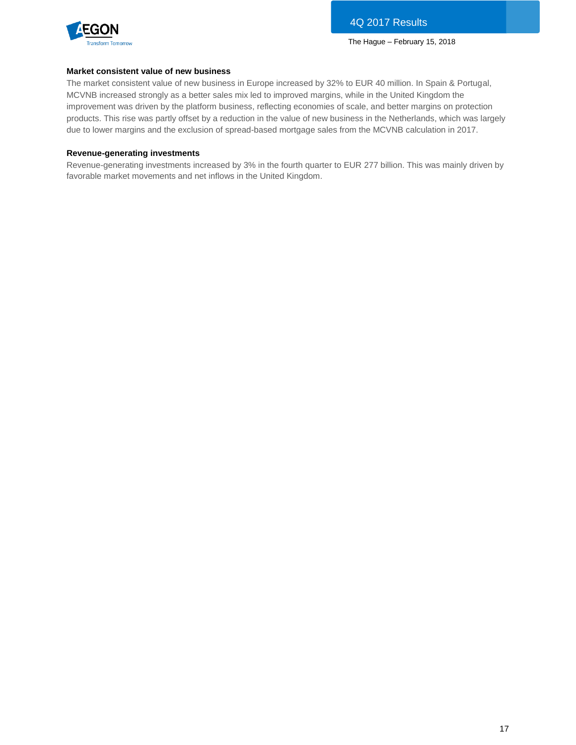

#### **Market consistent value of new business**

The market consistent value of new business in Europe increased by 32% to EUR 40 million. In Spain & Portugal, MCVNB increased strongly as a better sales mix led to improved margins, while in the United Kingdom the improvement was driven by the platform business, reflecting economies of scale, and better margins on protection products. This rise was partly offset by a reduction in the value of new business in the Netherlands, which was largely due to lower margins and the exclusion of spread-based mortgage sales from the MCVNB calculation in 2017.

#### **Revenue-generating investments**

Revenue-generating investments increased by 3% in the fourth quarter to EUR 277 billion. This was mainly driven by favorable market movements and net inflows in the United Kingdom.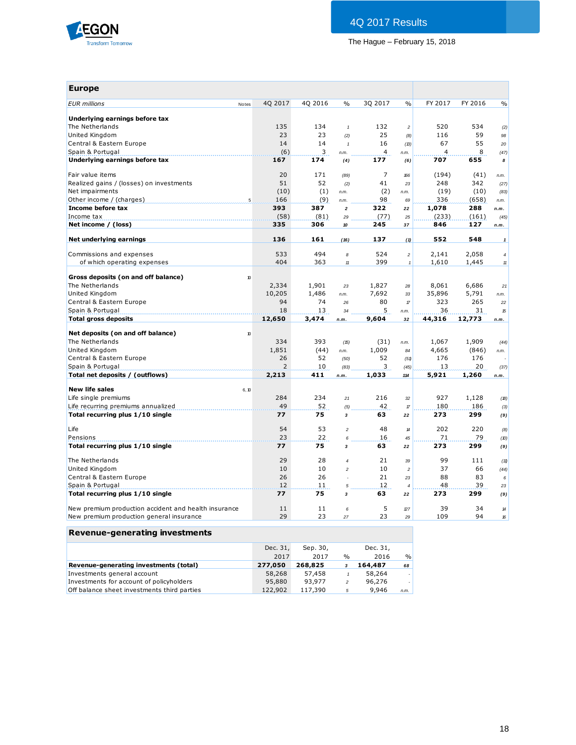

| <b>Europe</b>                                        |       |                |          |                         |                |                                   |                |         |                                                                                                         |
|------------------------------------------------------|-------|----------------|----------|-------------------------|----------------|-----------------------------------|----------------|---------|---------------------------------------------------------------------------------------------------------|
| <b>EUR</b> millions                                  | Notes | 40 2017        | 40 2016  | $\frac{0}{0}$           | 30 2017        | $\frac{0}{0}$                     | FY 2017        | FY 2016 | $\frac{0}{0}$                                                                                           |
| Underlying earnings before tax                       |       |                |          |                         |                |                                   |                |         |                                                                                                         |
| The Netherlands                                      |       | 135            | 134      | $\mathbf{1}$            | 132            | $\overline{c}$                    | 520            | 534     |                                                                                                         |
| United Kingdom                                       |       | 23             | 23       | (2)                     | 25             | (8)                               | 116            | 59      | (2)<br>98                                                                                               |
| Central & Eastern Europe                             |       | 14             | 14       | $\pmb{\mathcal{I}}$     | 16             | (B)                               | 67             | 55      | 20                                                                                                      |
| Spain & Portugal                                     |       | (6)            | 3        |                         | $\overline{4}$ |                                   | $\overline{4}$ | 8       |                                                                                                         |
| Underlying earnings before tax                       |       | 167            | 174      | n.m.                    | 177            | n.m.                              | 707            | 655     | (47)<br>8                                                                                               |
|                                                      |       |                |          | (4)                     |                | (6)                               |                |         |                                                                                                         |
| Fair value items                                     |       | 20             | 171      | (89)                    | $\overline{7}$ | 166                               | (194)          | (41)    | n.m.                                                                                                    |
| Realized gains / (losses) on investments             |       | 51             | 52       | (2)                     | 41             | 23                                | 248            | 342     | (27)                                                                                                    |
| Net impairments                                      |       | (10)           | (1)      | n.m.                    | (2)            | n.m.                              | (19)           | (10)    | (83)                                                                                                    |
| Other income / (charges)                             |       | 166<br>5       | (9)      | n.m.                    | 98             | 69                                | 336            | (658)   | n.m.                                                                                                    |
| Income before tax                                    |       | 393            | 387      | $\boldsymbol{2}$        | 322            | 22                                | 1,078          | 288     | n.m.                                                                                                    |
| Income tax                                           |       | (58)           | (81)     | 29                      | (77)           | 25                                | (233)          | (161)   | (45)                                                                                                    |
| Net income / (loss)                                  |       | 335            | 306      | 10                      | 245            | 37                                | 846            | 127     | n.m.                                                                                                    |
| Net underlying earnings                              |       | 136            | 161      | (16)                    | 137            | (1)                               | 552            | 548     | $\mathbf{1}$                                                                                            |
|                                                      |       |                |          |                         |                |                                   |                |         |                                                                                                         |
| Commissions and expenses                             |       | 533            | 494      | 8                       | 524            | $\overline{c}$                    | 2,141          | 2,058   | $\overline{4}$                                                                                          |
| of which operating expenses                          |       | 404            | 363      | $\boldsymbol{\eta}$     | 399            | $\mathbf{1}$                      | 1,610          | 1,445   | $11$                                                                                                    |
| Gross deposits (on and off balance)                  | 10    |                |          |                         |                |                                   |                |         |                                                                                                         |
| The Netherlands                                      |       | 2,334          | 1,901    | 23                      | 1,827          | 28                                | 8,061          | 6,686   | 21                                                                                                      |
| United Kingdom                                       |       | 10,205         | 1,486    |                         | 7,692          | 33                                | 35,896         | 5,791   |                                                                                                         |
| Central & Eastern Europe                             |       | 94             | 74       | n.m.<br>26              | 80             | $\ensuremath{\mathcal{T}}$        | 323            | 265     | n.m.<br>22                                                                                              |
| Spain & Portugal                                     |       | 18             | 13       | 34                      | 5              |                                   | 36             | 31      | $\mathfrak{B}% _{T}=\mathfrak{B}_{T}\!\left( a,b\right) ,\ \mathfrak{B}_{T}=C_{T}\!\left( a,b\right) ,$ |
| <b>Total gross deposits</b>                          |       | 12,650         | 3,474    | n.m.                    | 9,604          | n.m.<br>32                        | 44,316         | 12,773  | n.m.                                                                                                    |
|                                                      |       |                |          |                         |                |                                   |                |         |                                                                                                         |
| Net deposits (on and off balance)                    | 10    |                |          |                         |                |                                   |                |         |                                                                                                         |
| The Netherlands                                      |       | 334            | 393      | (15)                    | (31)           | n.m.                              | 1,067          | 1,909   | (44)                                                                                                    |
| United Kingdom                                       |       | 1,851          | (44)     | n.m.                    | 1,009          | 84                                | 4,665          | (846)   | n.m.                                                                                                    |
| Central & Eastern Europe                             |       | 26             | 52       | (50)                    | 52             | (51)                              | 176            | 176     |                                                                                                         |
| Spain & Portugal                                     |       | $\overline{2}$ | 10       | (83)                    | 3              | (45)                              | 13             | 20      | (37)                                                                                                    |
| Total net deposits / (outflows)                      |       | 2,213          | 411      | n.m.                    | 1,033          | 114                               | 5,921          | 1,260   | n.m.                                                                                                    |
|                                                      |       |                |          |                         |                |                                   |                |         |                                                                                                         |
| <b>New life sales</b>                                | 6, 10 |                |          |                         |                |                                   |                |         |                                                                                                         |
| Life single premiums                                 |       | 284            | 234      | 21                      | 216            | 32                                | 927            | 1,128   | (18)                                                                                                    |
| Life recurring premiums annualized                   |       | 49<br>77       | 52<br>75 | (5)                     | 42<br>63       | $\ensuremath{\mathcal{T}}\xspace$ | 180<br>273     | 186     | (3)                                                                                                     |
| Total recurring plus 1/10 single                     |       |                |          | 3                       |                | 22                                |                | 299     | (9)                                                                                                     |
| Life                                                 |       | 54             | 53       | $\mathfrak{p}$          | 48             | $\boldsymbol{\mathcal{H}}$        | 202            | 220     | (8)                                                                                                     |
|                                                      |       |                | 22       | 6                       | 16             | 45                                | 71             | 79      | (D)                                                                                                     |
| Pensions                                             |       | 23             |          |                         |                |                                   |                |         | (9)                                                                                                     |
| Total recurring plus 1/10 single                     |       | 77             | 75       | $\overline{\mathbf{3}}$ | 63             | 22                                | 273            | 299     |                                                                                                         |
|                                                      |       |                |          |                         |                |                                   |                |         |                                                                                                         |
| The Netherlands                                      |       | 29             | 28       | $\overline{4}$          | 21             | 39                                | 99             | 111     | (11)                                                                                                    |
| United Kingdom                                       |       | 10             | 10       | $\overline{c}$          | 10             | $\overline{a}$                    | 37             | 66      | (44)                                                                                                    |
| Central & Eastern Europe                             |       | 26             | 26       |                         | 21             | 23                                | 88             | 83      | 6                                                                                                       |
| Spain & Portugal                                     |       | 12             | 11       | $\sqrt{5}$              | 12             | $\overline{4}$                    | 48             | 39      | 23                                                                                                      |
| Total recurring plus 1/10 single                     |       | 77             | 75       | 3                       | 63             | 22                                | 273            | 299     | (9)                                                                                                     |
|                                                      |       |                |          |                         |                |                                   |                |         |                                                                                                         |
| New premium production accident and health insurance |       | 11             | 11       | 6                       | 5              | 27                                | 39             | 34      | 14                                                                                                      |
| New premium production general insurance             |       | 29             | 23       | 27                      | 23             | 29                                | 109            | 94      | 16                                                                                                      |

| Revenue generating investments              |          |          |                |          |               |
|---------------------------------------------|----------|----------|----------------|----------|---------------|
|                                             | Dec. 31, | Sep. 30, |                | Dec. 31, |               |
|                                             | 2017     | 2017     | $\%$           | 2016     | $\frac{9}{0}$ |
| Revenue-generating investments (total)      | 277,050  | 268,825  | 3              | 164,487  | 68            |
| Investments general account                 | 58,268   | 57,458   |                | 58,264   |               |
| Investments for account of policyholders    | 95,880   | 93,977   | $\overline{c}$ | 96,276   |               |
| Off balance sheet investments third parties | 122,902  | 117,390  | 5              | 9.946    | n.m.          |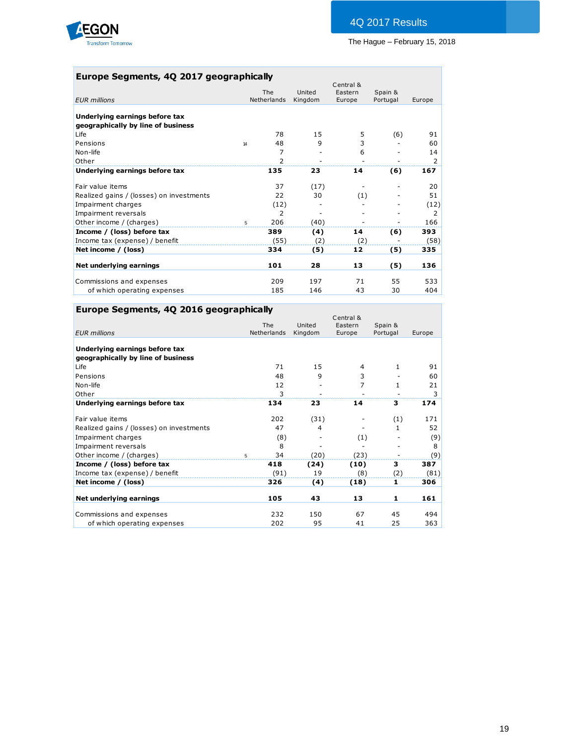

# **Europe Segments, 4Q 2017 geographically**

|                                          |    |                    |                   | Central &         |                     |        |
|------------------------------------------|----|--------------------|-------------------|-------------------|---------------------|--------|
| <b>EUR</b> millions                      |    | The<br>Netherlands | United<br>Kingdom | Eastern<br>Europe | Spain &<br>Portugal | Europe |
|                                          |    |                    |                   |                   |                     |        |
| Underlying earnings before tax           |    |                    |                   |                   |                     |        |
| geographically by line of business       |    |                    |                   |                   |                     |        |
| Life                                     |    | 78                 | 15                | 5                 | (6)                 | 91     |
| Pensions                                 | 14 | 48                 | 9                 | 3                 |                     | 60     |
| Non-life                                 |    | 7                  |                   | 6                 |                     | 14     |
| Other                                    |    | $\overline{2}$     |                   |                   |                     | 2      |
| Underlying earnings before tax           |    | 135                | 23                | 14                | (6)                 | 167    |
| Fair value items                         |    | 37                 | (17)              |                   |                     | 20     |
| Realized gains / (losses) on investments |    | 22                 | 30                | (1)               |                     | 51     |
| Impairment charges                       |    | (12)               |                   |                   |                     | (12)   |
| Impairment reversals                     |    | 2                  |                   |                   |                     | 2      |
| Other income / (charges)                 | 5  | 206                | (40)              |                   |                     | 166    |
| Income / (loss) before tax               |    | 389                | (4)               | 14                | (6)                 | 393    |
| Income tax (expense) / benefit           |    | (55)               | (2)               | (2)               |                     | (58)   |
| Net income / (loss)                      |    | 334                | (5)               | 12                | (5)                 | 335    |
| Net underlying earnings                  |    | 101                | 28                | 13                | (5)                 | 136    |
|                                          |    |                    |                   |                   |                     |        |
| Commissions and expenses                 |    | 209                | 197               | 71                | 55                  | 533    |
| of which operating expenses              |    | 185                | 146               | 43                | 30                  | 404    |

# **Europe Segments, 4Q 2016 geographically**

|                                          |             |         | Central & |              |        |
|------------------------------------------|-------------|---------|-----------|--------------|--------|
|                                          | The         | United  | Eastern   | Spain &      |        |
| <b>EUR</b> millions                      | Netherlands | Kingdom | Europe    | Portugal     | Europe |
|                                          |             |         |           |              |        |
| Underlying earnings before tax           |             |         |           |              |        |
| geographically by line of business       |             |         |           |              |        |
| Life                                     | 71          | 15      | 4         | $\mathbf{1}$ | 91     |
| Pensions                                 | 48          | 9       | 3         |              | 60     |
| Non-life                                 | 12          |         | 7         | 1            | 21     |
| Other                                    | 3           |         |           |              | 3      |
| Underlying earnings before tax           | 134         | 23      | 14        | 3            | 174    |
| Fair value items                         | 202         | (31)    |           | (1)          | 171    |
| Realized gains / (losses) on investments | 47          | 4       |           | 1            | 52     |
| Impairment charges                       | (8)         |         | (1)       |              | (9)    |
| Impairment reversals                     | 8           |         |           |              | 8      |
| Other income / (charges)                 | 34<br>5     | (20)    | (23)      |              | (9)    |
| Income / (loss) before tax               | 418         | (24)    | (10)      | 3            | 387    |
| Income tax (expense) / benefit           | (91)        | 19      | (8)       | (2)          | (81)   |
| Net income / (loss)                      | 326         | (4)     | (18)      | 1            | 306    |
| Net underlying earnings                  | 105         | 43      | 13        | 1            | 161    |
|                                          |             |         |           |              |        |
| Commissions and expenses                 | 232         | 150     | 67        | 45           | 494    |
| of which operating expenses              | 202         | 95      | 41        | 25           | 363    |
|                                          |             |         |           |              |        |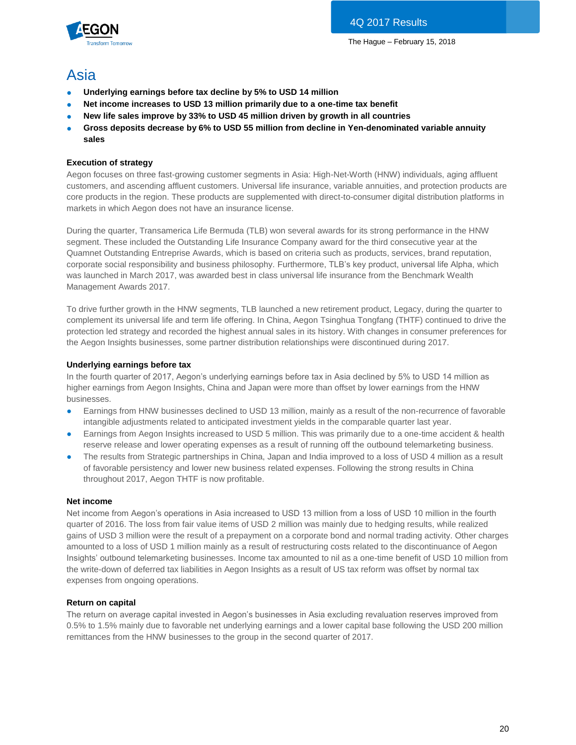

# Asia

- **Underlying earnings before tax decline by 5% to USD 14 million**
- Net income increases to USD 13 million primarily due to a one-time tax benefit
- **New life sales improve by 33% to USD 45 million driven by growth in all countries**
- **Gross deposits decrease by 6% to USD 55 million from decline in Yen-denominated variable annuity sales**

### **Execution of strategy**

Aegon focuses on three fast-growing customer segments in Asia: High-Net-Worth (HNW) individuals, aging affluent customers, and ascending affluent customers. Universal life insurance, variable annuities, and protection products are core products in the region. These products are supplemented with direct-to-consumer digital distribution platforms in markets in which Aegon does not have an insurance license.

During the quarter, Transamerica Life Bermuda (TLB) won several awards for its strong performance in the HNW segment. These included the Outstanding Life Insurance Company award for the third consecutive year at the Quamnet Outstanding Entreprise Awards, which is based on criteria such as products, services, brand reputation, corporate social responsibility and business philosophy. Furthermore, TLB's key product, universal life Alpha, which was launched in March 2017, was awarded best in class universal life insurance from the Benchmark Wealth Management Awards 2017.

To drive further growth in the HNW segments, TLB launched a new retirement product, Legacy, during the quarter to complement its universal life and term life offering. In China, Aegon Tsinghua Tongfang (THTF) continued to drive the protection led strategy and recorded the highest annual sales in its history. With changes in consumer preferences for the Aegon Insights businesses, some partner distribution relationships were discontinued during 2017.

#### **Underlying earnings before tax**

In the fourth quarter of 2017, Aegon's underlying earnings before tax in Asia declined by 5% to USD 14 million as higher earnings from Aegon Insights, China and Japan were more than offset by lower earnings from the HNW businesses.

- Earnings from HNW businesses declined to USD 13 million, mainly as a result of the non-recurrence of favorable intangible adjustments related to anticipated investment yields in the comparable quarter last year.
- Earnings from Aegon Insights increased to USD 5 million. This was primarily due to a one-time accident & health reserve release and lower operating expenses as a result of running off the outbound telemarketing business.
- The results from Strategic partnerships in China, Japan and India improved to a loss of USD 4 million as a result of favorable persistency and lower new business related expenses. Following the strong results in China throughout 2017, Aegon THTF is now profitable.

#### **Net income**

Net income from Aegon's operations in Asia increased to USD 13 million from a loss of USD 10 million in the fourth quarter of 2016. The loss from fair value items of USD 2 million was mainly due to hedging results, while realized gains of USD 3 million were the result of a prepayment on a corporate bond and normal trading activity. Other charges amounted to a loss of USD 1 million mainly as a result of restructuring costs related to the discontinuance of Aegon Insights' outbound telemarketing businesses. Income tax amounted to nil as a one-time benefit of USD 10 million from the write-down of deferred tax liabilities in Aegon Insights as a result of US tax reform was offset by normal tax expenses from ongoing operations.

#### **Return on capital**

The return on average capital invested in Aegon's businesses in Asia excluding revaluation reserves improved from 0.5% to 1.5% mainly due to favorable net underlying earnings and a lower capital base following the USD 200 million remittances from the HNW businesses to the group in the second quarter of 2017.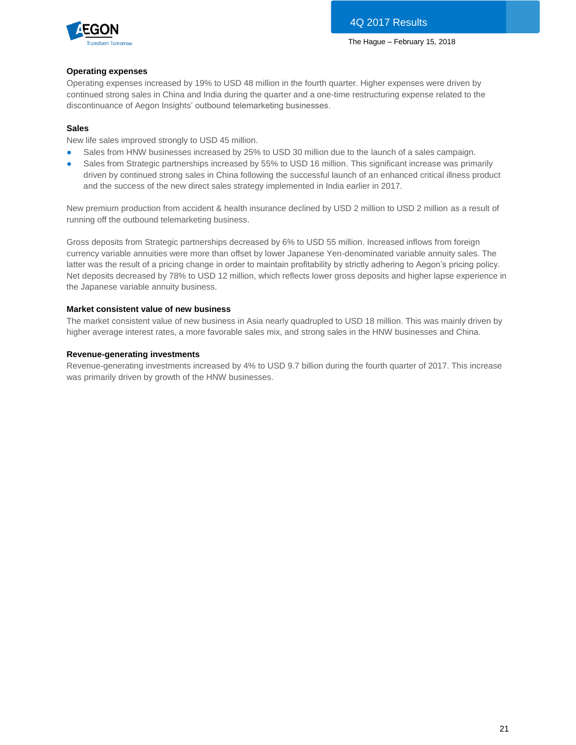

#### **Operating expenses**

Operating expenses increased by 19% to USD 48 million in the fourth quarter. Higher expenses were driven by continued strong sales in China and India during the quarter and a one-time restructuring expense related to the discontinuance of Aegon Insights' outbound telemarketing businesses.

#### **Sales**

New life sales improved strongly to USD 45 million.

- Sales from HNW businesses increased by 25% to USD 30 million due to the launch of a sales campaign.
- Sales from Strategic partnerships increased by 55% to USD 16 million. This significant increase was primarily driven by continued strong sales in China following the successful launch of an enhanced critical illness product and the success of the new direct sales strategy implemented in India earlier in 2017.

New premium production from accident & health insurance declined by USD 2 million to USD 2 million as a result of running off the outbound telemarketing business.

Gross deposits from Strategic partnerships decreased by 6% to USD 55 million. Increased inflows from foreign currency variable annuities were more than offset by lower Japanese Yen-denominated variable annuity sales. The latter was the result of a pricing change in order to maintain profitability by strictly adhering to Aegon's pricing policy. Net deposits decreased by 78% to USD 12 million, which reflects lower gross deposits and higher lapse experience in the Japanese variable annuity business.

#### **Market consistent value of new business**

The market consistent value of new business in Asia nearly quadrupled to USD 18 million. This was mainly driven by higher average interest rates, a more favorable sales mix, and strong sales in the HNW businesses and China.

#### **Revenue-generating investments**

Revenue-generating investments increased by 4% to USD 9.7 billion during the fourth quarter of 2017. This increase was primarily driven by growth of the HNW businesses.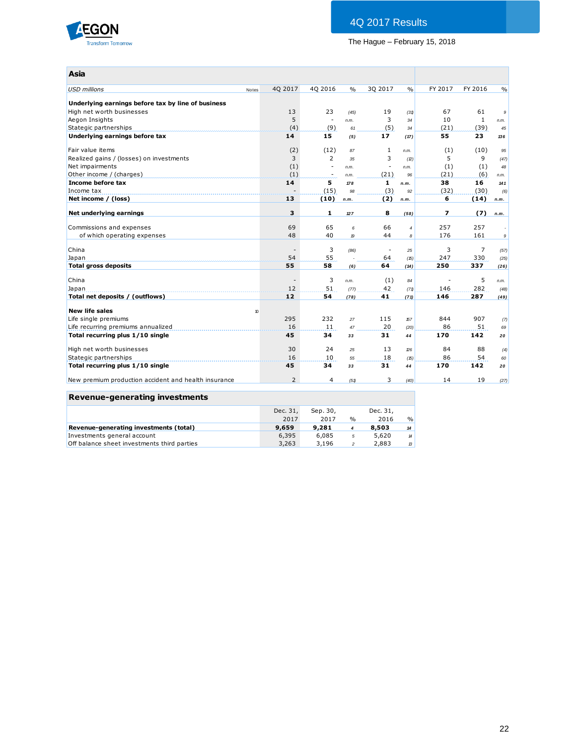

# 4Q 2017 Results

# The Hague – February 15, 2018

| Asia                                                    |       |                          |                          |                   |                          |                     |         |                |                |
|---------------------------------------------------------|-------|--------------------------|--------------------------|-------------------|--------------------------|---------------------|---------|----------------|----------------|
| <b>USD</b> millions                                     | Notes | 40 2017                  | 40 2016                  | $\frac{0}{0}$     | 30 2017                  | $\frac{0}{0}$       | FY 2017 | FY 2016        | $\frac{0}{0}$  |
| Underlying earnings before tax by line of business      |       |                          |                          |                   |                          |                     |         |                |                |
| High net worth businesses                               |       | 13                       | 23                       | (45)              | 19                       | (31)                | 67      | 61             | $\mathfrak{g}$ |
| Aegon Insights                                          |       | 5                        | $\overline{\phantom{a}}$ | n.m.              | 3                        | 34                  | 10      | $\mathbf{1}$   | n.m.           |
| Stategic partnerships                                   |       | (4)                      | (9)                      | 61                | (5)                      | 34                  | (21)    | (39)           | 45             |
| Underlying earnings before tax                          |       | 14                       | 15                       | (5)               | 17                       | (17)                | 55      | 23             | 136            |
| Fair value items                                        |       | (2)                      | (12)                     | 87                | $\mathbf{1}$             | n.m.                | (1)     | (10)           | 95             |
| Realized gains / (losses) on investments                |       | 3                        | $\overline{2}$           | 35                | 3                        | (2)                 | 5       | 9              | (47)           |
| Net impairments                                         |       | (1)                      | $\sim$                   | n.m.              | $\overline{\phantom{a}}$ | n.m.                | (1)     | (1)            | 48             |
| Other income / (charges)                                |       | (1)                      | ٠                        | n.m.              | (21)                     | 96                  | (21)    | (6)            | n.m.           |
| Income before tax                                       |       | 14                       | 5                        | 178               | $\mathbf{1}$             | n.m.                | 38      | 16             | 141            |
| Income tax                                              |       |                          | (15)                     | 98                | (3)                      | 92                  | (32)    | (30)           | (6)            |
| Net income / (loss)                                     |       | 13                       | (10)                     | n.m.              | (2)                      | n.m.                | 6       | (14)           | n.m.           |
| Net underlying earnings                                 |       | 3                        | 1                        | 127               | 8                        | (58)                | 7       | (7)            | n.m.           |
|                                                         |       | 69                       | 65                       | 6                 | 66                       |                     | 257     | 257            |                |
| Commissions and expenses<br>of which operating expenses |       | 48                       | 40                       | $\boldsymbol{19}$ | 44                       | $\overline{4}$<br>8 | 176     | 161            | $\mathfrak{g}$ |
|                                                         |       |                          |                          |                   |                          |                     |         |                |                |
| China                                                   |       | $\overline{\phantom{a}}$ | 3                        | (86)              | $\overline{\phantom{a}}$ | 25                  | 3       | $\overline{7}$ | (57)           |
| Japan                                                   |       | 54                       | 55                       |                   | 64                       | (15)                | 247     | 330            | (25)           |
| <b>Total gross deposits</b>                             |       | 55                       | 58                       | (6)               | 64                       | (14)                | 250     | 337            | (26)           |
| China                                                   |       |                          | 3                        | n.m.              | (1)                      | 84                  |         | 5              | n.m.           |
| Japan                                                   |       | 12                       | 51                       | (77)              | 42                       | (71)                | 146     | 282            | (48)           |
| Total net deposits / (outflows)                         |       | 12                       | 54                       | (78)              | 41                       | (71)                | 146     | 287            | (49)           |
| <b>New life sales</b>                                   | 10    |                          |                          |                   |                          |                     |         |                |                |
| Life single premiums                                    |       | 295                      | 232                      | 27                | 115                      | 157                 | 844     | 907            | (7)            |
| Life recurring premiums annualized                      |       | 16                       | 11                       | 47                | 20                       | (20)                | 86      | 51             | 69             |
| Total recurring plus 1/10 single                        |       | 45                       | 34                       | 33                | 31                       | 44                  | 170     | 142            | 20             |
| High net worth businesses                               |       | 30                       | 24                       | 25                | 13                       | 26                  | 84      | 88             | (4)            |
| Stategic partnerships                                   |       | 16                       | 10                       | 55                | 18                       | (15)                | 86      | 54             | 60             |
| Total recurring plus 1/10 single                        |       | 45                       | 34                       | 33                | 31                       | 44                  | 170     | 142            | 20             |
| New premium production accident and health insurance    |       | $\overline{2}$           | 4                        | (51)              | 3                        | (40)                | 14      | 19             | (27)           |
|                                                         |       |                          |                          |                   |                          |                     |         |                |                |
| <b>Revenue-generating investments</b>                   |       |                          |                          |                   |                          |                     |         |                |                |

|                                             | Dec. 31, | Sep. 30, |               | Dec. 31, |               |
|---------------------------------------------|----------|----------|---------------|----------|---------------|
|                                             | 2017     | 2017     | $\frac{0}{0}$ | 2016     | $\frac{0}{0}$ |
| Revenue-generating investments (total)      | 9.659    | 9,281    |               | 8,503    | 14            |
| Investments general account                 | 6,395    | 6,085    | 5             | 5,620    | 14            |
| Off balance sheet investments third parties | 3,263    | 3,196    |               | 2,883    | $\mathcal{B}$ |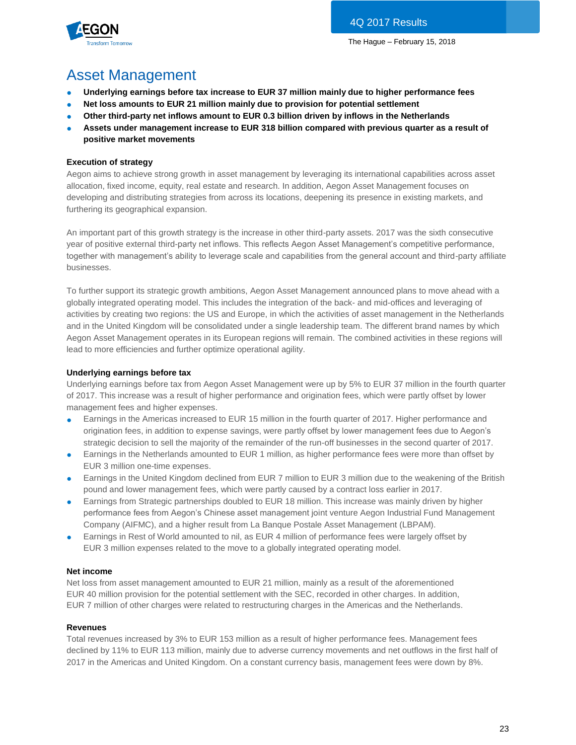

# Asset Management

- **Underlying earnings before tax increase to EUR 37 million mainly due to higher performance fees**
- Net loss amounts to EUR 21 million mainly due to provision for potential settlement
- Other third-party net inflows amount to EUR 0.3 billion driven by inflows in the Netherlands
- Assets under management increase to EUR 318 billion compared with previous quarter as a result of **positive market movements**

### **Execution of strategy**

Aegon aims to achieve strong growth in asset management by leveraging its international capabilities across asset allocation, fixed income, equity, real estate and research. In addition, Aegon Asset Management focuses on developing and distributing strategies from across its locations, deepening its presence in existing markets, and furthering its geographical expansion.

An important part of this growth strategy is the increase in other third-party assets. 2017 was the sixth consecutive year of positive external third-party net inflows. This reflects Aegon Asset Management's competitive performance, together with management's ability to leverage scale and capabilities from the general account and third-party affiliate businesses.

To further support its strategic growth ambitions, Aegon Asset Management announced plans to move ahead with a globally integrated operating model. This includes the integration of the back- and mid-offices and leveraging of activities by creating two regions: the US and Europe, in which the activities of asset management in the Netherlands and in the United Kingdom will be consolidated under a single leadership team. The different brand names by which Aegon Asset Management operates in its European regions will remain. The combined activities in these regions will lead to more efficiencies and further optimize operational agility.

### **Underlying earnings before tax**

Underlying earnings before tax from Aegon Asset Management were up by 5% to EUR 37 million in the fourth quarter of 2017. This increase was a result of higher performance and origination fees, which were partly offset by lower management fees and higher expenses.

- Earnings in the Americas increased to EUR 15 million in the fourth quarter of 2017. Higher performance and origination fees, in addition to expense savings, were partly offset by lower management fees due to Aegon's strategic decision to sell the majority of the remainder of the run-off businesses in the second quarter of 2017.
- Earnings in the Netherlands amounted to EUR 1 million, as higher performance fees were more than offset by EUR 3 million one-time expenses.
- Earnings in the United Kingdom declined from EUR 7 million to EUR 3 million due to the weakening of the British pound and lower management fees, which were partly caused by a contract loss earlier in 2017.
- Earnings from Strategic partnerships doubled to EUR 18 million. This increase was mainly driven by higher performance fees from Aegon's Chinese asset management joint venture Aegon Industrial Fund Management Company (AIFMC), and a higher result from La Banque Postale Asset Management (LBPAM).
- Earnings in Rest of World amounted to nil, as EUR 4 million of performance fees were largely offset by EUR 3 million expenses related to the move to a globally integrated operating model.

#### **Net income**

Net loss from asset management amounted to EUR 21 million, mainly as a result of the aforementioned EUR 40 million provision for the potential settlement with the SEC, recorded in other charges. In addition, EUR 7 million of other charges were related to restructuring charges in the Americas and the Netherlands.

#### **Revenues**

Total revenues increased by 3% to EUR 153 million as a result of higher performance fees. Management fees declined by 11% to EUR 113 million, mainly due to adverse currency movements and net outflows in the first half of 2017 in the Americas and United Kingdom. On a constant currency basis, management fees were down by 8%.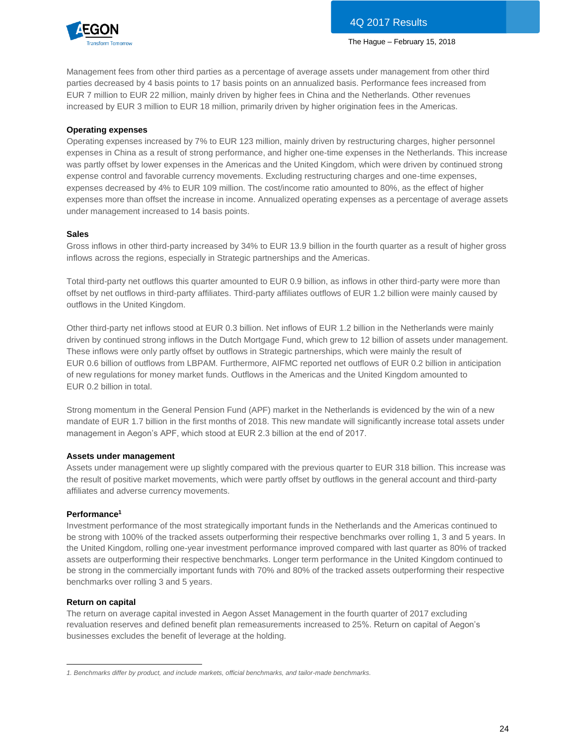

Management fees from other third parties as a percentage of average assets under management from other third parties decreased by 4 basis points to 17 basis points on an annualized basis. Performance fees increased from EUR 7 million to EUR 22 million, mainly driven by higher fees in China and the Netherlands. Other revenues increased by EUR 3 million to EUR 18 million, primarily driven by higher origination fees in the Americas.

#### **Operating expenses**

Operating expenses increased by 7% to EUR 123 million, mainly driven by restructuring charges, higher personnel expenses in China as a result of strong performance, and higher one-time expenses in the Netherlands. This increase was partly offset by lower expenses in the Americas and the United Kingdom, which were driven by continued strong expense control and favorable currency movements. Excluding restructuring charges and one-time expenses, expenses decreased by 4% to EUR 109 million. The cost/income ratio amounted to 80%, as the effect of higher expenses more than offset the increase in income. Annualized operating expenses as a percentage of average assets under management increased to 14 basis points.

#### **Sales**

Gross inflows in other third-party increased by 34% to EUR 13.9 billion in the fourth quarter as a result of higher gross inflows across the regions, especially in Strategic partnerships and the Americas.

Total third-party net outflows this quarter amounted to EUR 0.9 billion, as inflows in other third-party were more than offset by net outflows in third-party affiliates. Third-party affiliates outflows of EUR 1.2 billion were mainly caused by outflows in the United Kingdom.

Other third-party net inflows stood at EUR 0.3 billion. Net inflows of EUR 1.2 billion in the Netherlands were mainly driven by continued strong inflows in the Dutch Mortgage Fund, which grew to 12 billion of assets under management. These inflows were only partly offset by outflows in Strategic partnerships, which were mainly the result of EUR 0.6 billion of outflows from LBPAM. Furthermore, AIFMC reported net outflows of EUR 0.2 billion in anticipation of new regulations for money market funds. Outflows in the Americas and the United Kingdom amounted to EUR 0.2 billion in total.

Strong momentum in the General Pension Fund (APF) market in the Netherlands is evidenced by the win of a new mandate of EUR 1.7 billion in the first months of 2018. This new mandate will significantly increase total assets under management in Aegon's APF, which stood at EUR 2.3 billion at the end of 2017.

#### **Assets under management**

Assets under management were up slightly compared with the previous quarter to EUR 318 billion. This increase was the result of positive market movements, which were partly offset by outflows in the general account and third-party affiliates and adverse currency movements.

#### **Performance<sup>1</sup>**

Investment performance of the most strategically important funds in the Netherlands and the Americas continued to be strong with 100% of the tracked assets outperforming their respective benchmarks over rolling 1, 3 and 5 years. In the United Kingdom, rolling one-year investment performance improved compared with last quarter as 80% of tracked assets are outperforming their respective benchmarks. Longer term performance in the United Kingdom continued to be strong in the commercially important funds with 70% and 80% of the tracked assets outperforming their respective benchmarks over rolling 3 and 5 years.

#### **Return on capital**

The return on average capital invested in Aegon Asset Management in the fourth quarter of 2017 excluding revaluation reserves and defined benefit plan remeasurements increased to 25%. Return on capital of Aegon's businesses excludes the benefit of leverage at the holding.

 $\overline{a}$ *1. Benchmarks differ by product, and include markets, official benchmarks, and tailor-made benchmarks.*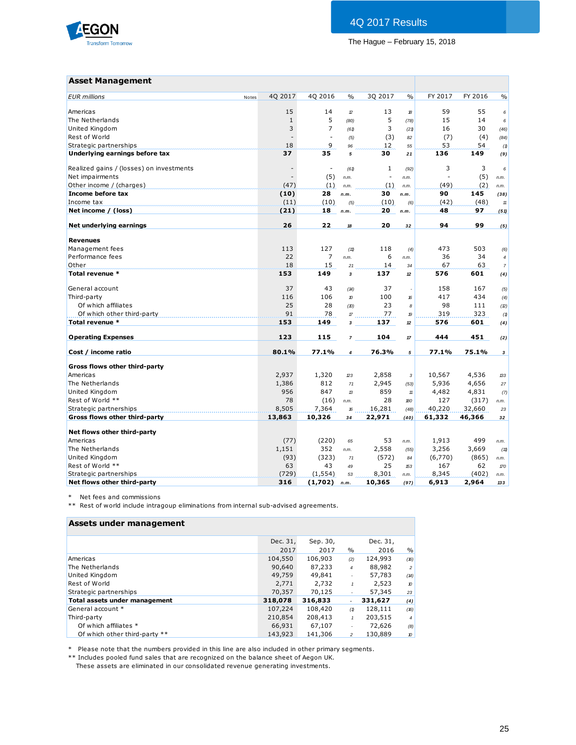

#### **Asset Management**

| <b>Asset Management</b>                  |                |                          |                |                          |               |         |         |                |
|------------------------------------------|----------------|--------------------------|----------------|--------------------------|---------------|---------|---------|----------------|
| <b>EUR</b> millions<br>Notes             | 40 2017        | 40 2016                  | $\frac{0}{0}$  | 30 2017                  | $\frac{0}{0}$ | FY 2017 | FY 2016 | $\frac{0}{0}$  |
| Americas                                 | 15             | 14                       | $\mathcal D$   | 13                       | 18            | 59      | 55      | 6              |
| The Netherlands                          | $\mathbf{1}$   | 5                        | (80)           | 5                        | (78)          | 15      | 14      | 6              |
| United Kingdom                           | 3              | $\overline{7}$           | (61)           | 3                        | (21)          | 16      | 30      | (46)           |
| Rest of World                            | ÷,             | $\overline{a}$           | (5)            | (3)                      | 82            | (7)     | (4)     | (84)           |
| Strategic partnerships                   | 18             | 9                        | 96             | 12                       | 55            | 53      | 54      | (1)            |
| Underlying earnings before tax           | 37             | 35                       | 5              | 30                       | 21            | 136     | 149     | (9)            |
| Realized gains / (losses) on investments |                | $\overline{\phantom{a}}$ | (61)           | 1                        | (92)          | 3       | 3       | 6              |
| Net impairments                          | $\blacksquare$ | (5)                      | n.m.           | $\overline{\phantom{a}}$ | n.m.          |         | (5)     | n.m.           |
| Other income / (charges)                 | (47)           | (1)                      | n.m.           | (1)                      | n.m.          | (49)    | (2)     | n.m.           |
| Income before tax                        | (10)           | 28                       | n.m.           | 30                       | n.m.          | 90      | 145     | (38)           |
| Income tax                               | (11)           | (10)                     | (5)            | (10)                     | (6)           | (42)    | (48)    | 11             |
| Net income / (loss)                      | (21)           | 18                       | n.m.           | 20                       | n.m.          | 48      | 97      | (51)           |
| Net underlying earnings                  | 26             | 22                       | 18             | 20                       | 32            | 94      | 99      | (5)            |
| <b>Revenues</b>                          |                |                          |                |                          |               |         |         |                |
| Management fees                          | 113            | 127                      | (11)           | 118                      | (4)           | 473     | 503     | (6)            |
| Performance fees                         | 22             | $\overline{7}$           | n.m.           | 6                        | n.m.          | 36      | 34      | $\overline{4}$ |
| Other                                    | 18             | 15                       | 21             | 14                       | 34            | 67      | 63      | $\overline{7}$ |
| Total revenue *                          | 153            | 149                      | 3              | 137                      | $12\,$        | 576     | 601     | (4)            |
| General account                          | 37             | 43                       | (14)           | 37                       |               | 158     | 167     | (5)            |
| Third-party                              | 116            | 106                      | 10             | 100                      | 16            | 417     | 434     | (4)            |
| Of which affiliates                      | 25             | 28                       | (D)            | 23                       | 8             | 98      | 111     | (2)            |
| Of which other third-party               | 91             | 78                       | $\mathcal{L}$  | 77                       | 19            | 319     | 323     | (1)            |
| Total revenue *                          | 153            | 149                      | 3              | 137                      | 12            | 576     | 601     | (4)            |
| <b>Operating Expenses</b>                | 123            | 115                      | $\overline{7}$ | 104                      | $17$          | 444     | 451     | (2)            |
| Cost / income ratio                      | 80.1%          | 77.1%                    | $\overline{4}$ | 76.3%                    | 5             | 77.1%   | 75.1%   | 3              |
| Gross flows other third-party            |                |                          |                |                          |               |         |         |                |
| Americas                                 | 2,937          | 1,320                    | 23             | 2,858                    | 3             | 10,567  | 4,536   | 133            |
| The Netherlands                          | 1,386          | 812                      | 71             | 2,945                    | (53)          | 5,936   | 4,656   | 27             |
| United Kingdom                           | 956            | 847                      | $\mathcal{B}$  | 859                      | $11$          | 4,482   | 4,831   | (7)            |
| Rest of World **                         | 78             | (16)                     | n.m.           | 28                       | 180           | 127     | (317)   | n.m.           |
| Strategic partnerships                   | 8,505          | 7,364                    | 16             | 16,281                   | (48)          | 40,220  | 32,660  | 23             |
| Gross flows other third-party            | 13,863         | 10,326                   | 34             | 22,971                   | (40)          | 61,332  | 46,366  | 32             |
| Net flows other third-party              |                |                          |                |                          |               |         |         |                |
| Americas                                 | (77)           | (220)                    | 65             | 53                       | n.m.          | 1,913   | 499     | n.m.           |
| The Netherlands                          | 1,151          | 352                      | n.m.           | 2,558                    | (55)          | 3,256   | 3,669   | (11)           |
| United Kingdom                           | (93)           | (323)                    | 71             | (572)                    | 84            | (6,770) | (865)   | n.m.           |
| Rest of World **                         | 63             | 43                       | 49             | 25                       | 153           | 167     | 62      | 170            |
| Strategic partnerships                   | (729)          | (1, 554)                 | 53             | 8,301                    | n.m.          | 8,345   | (402)   | n.m.           |
| Net flows other third-party              | 316            | (1,702)                  | n.m.           | 10,365                   | (97)          | 6,913   | 2,964   | 133            |

\* Net fees and commissions

\*\* Rest of world include intragoup eliminations from internal sub-advised agreements.

| Assets under management       |          |          |                          |          |                |
|-------------------------------|----------|----------|--------------------------|----------|----------------|
|                               | Dec. 31, | Sep. 30, |                          | Dec. 31, |                |
|                               | 2017     | 2017     | $\%$                     | 2016     | $\%$           |
| Americas                      | 104,550  | 106,903  | (2)                      | 124,993  | (16)           |
| The Netherlands               | 90,640   | 87,233   | 4                        | 88,982   | $\overline{c}$ |
| United Kingdom                | 49,759   | 49,841   | ×,                       | 57,783   | (14)           |
| Rest of World                 | 2,771    | 2.732    | $\mathbf{1}$             | 2,523    | $\pmb v$       |
| Strategic partnerships        | 70,357   | 70,125   |                          | 57,345   | 23             |
| Total assets under management | 318,078  | 316,833  | $\overline{\phantom{0}}$ | 331,627  | (4)            |
| General account *             | 107,224  | 108,420  | (1)                      | 128,111  | (16)           |
| Third-party                   | 210,854  | 208,413  |                          | 203,515  | $\overline{4}$ |
| Of which affiliates *         | 66,931   | 67,107   |                          | 72,626   | (8)            |
| Of which other third-party ** | 143,923  | 141,306  | $\mathfrak{p}$           | 130.889  | $\pmb v$       |

\* Please note that the numbers provided in this line are also included in other primary segments.

\*\* Includes pooled fund sales that are recognized on the balance sheet of Aegon UK.

These assets are eliminated in our consolidated revenue generating investments.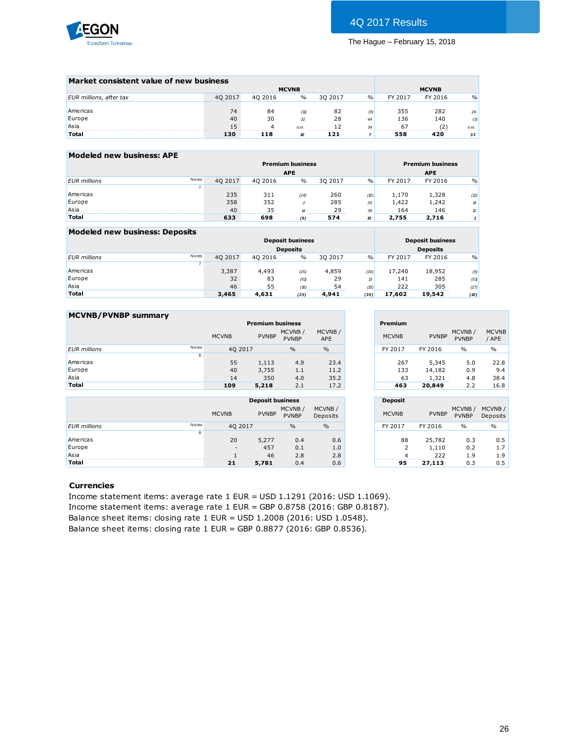

| Market consistent value of new business |         |         |               |                       |               |               |              |               |
|-----------------------------------------|---------|---------|---------------|-----------------------|---------------|---------------|--------------|---------------|
|                                         |         |         | <b>MCVNB</b>  |                       |               |               | <b>MCVNB</b> |               |
| EUR millions, after tax                 | 40 2017 | 40 2016 | $\frac{0}{0}$ | 30 2017               | $\frac{0}{0}$ | FY 2017       | FY 2016      | $\frac{0}{0}$ |
|                                         |         |         |               |                       |               |               |              |               |
| Americas                                | 74      | 84      | (11)          | 82                    | (9)           | 355           | 282          | 26            |
| Europe                                  | 40      | 30      | 32            | 28                    | 44            | 136           | 140          | (3)           |
| Asia                                    | 15      |         | n.m.          | --------------------- | 34            | 67<br>------- |              | n.m.          |
| Total                                   | 130     | 118     | 10            | 121                   |               | 558           | 420          | 33            |
|                                         |         |         |               |                       |               |               |              |               |

| Modeled new business: APE |       |         |         |                            |         |               |         |                         |               |
|---------------------------|-------|---------|---------|----------------------------|---------|---------------|---------|-------------------------|---------------|
|                           |       |         |         | <b>Premium business</b>    |         |               |         | <b>Premium business</b> |               |
|                           |       |         |         | <b>APE</b>                 |         |               |         | <b>APE</b>              |               |
| <b>EUR</b> millions       | Notes | 40 2017 | 40 2016 | $\%$                       | 30 2017 | $\frac{0}{0}$ | FY 2017 | FY 2016                 | $\frac{0}{0}$ |
|                           |       |         |         |                            |         |               |         |                         |               |
| Americas                  |       | 235     | 311     | (24)                       | 260     | (D)           | 1.170   | 1,328                   | (2)           |
| Europe                    |       | 358     | 352     | $\mathcal{P}$              | 285     | 25            | 1.422   | 1,242                   | 14            |
| Asia                      |       | 40      | 35      | $\boldsymbol{\mathcal{A}}$ | 29      | 39            | 164     | 146                     | 12            |
| Total                     |       | 633     | 698     | (9)                        | 574     | 10            | 2,755   | 2,716                   |               |

| Modeled new business: Deposits |       |         |         |                         |         |               |         |                         |               |
|--------------------------------|-------|---------|---------|-------------------------|---------|---------------|---------|-------------------------|---------------|
|                                |       |         |         | <b>Deposit business</b> |         |               |         | <b>Deposit business</b> |               |
|                                |       |         |         | <b>Deposits</b>         |         |               |         | <b>Deposits</b>         |               |
| <b>EUR</b> millions            | Notes | 40 2017 | 40 2016 | $\%$                    | 30 2017 | $\frac{0}{0}$ | FY 2017 | FY 2016                 | $\frac{0}{0}$ |
|                                |       |         |         |                         |         |               |         |                         |               |
| Americas                       |       | 3,387   | 4,493   | (25)                    | 4,859   | (30)          | 17,240  | 18,952                  | (9)           |
| Europe                         |       | 32      | 83      | (61)                    | 29      | $\mathcal{B}$ | 141     | 285                     | (51)          |
| Asia                           |       | 46      | 55      | (16)                    | 54      | (5)           | 222     | 305                     | (27)          |
| <b>Total</b>                   |       | 3,465   | 4,631   | (25)                    | 4,941   | (30)          | 17,602  | 19,542                  | (10)          |

| <b>MCVNB/PVNBP summary</b> |       |              |                         |                        |                      |                |              |                        |                       |
|----------------------------|-------|--------------|-------------------------|------------------------|----------------------|----------------|--------------|------------------------|-----------------------|
|                            |       |              | <b>Premium business</b> |                        |                      | Premium        |              |                        |                       |
|                            |       | <b>MCVNB</b> | <b>PVNBP</b>            | MCVNB/<br><b>PVNBP</b> | MCVNB/<br><b>APE</b> | <b>MCVNB</b>   | <b>PVNBP</b> | MCVNB/<br><b>PVNBP</b> | <b>MCVNB</b><br>/ APE |
| <b>EUR</b> millions        | Notes | 40 2017      |                         | $\frac{0}{0}$          | $\%$                 | FY 2017        | FY 2016      | $\frac{0}{0}$          | $\frac{0}{0}$         |
|                            | 8     |              |                         |                        |                      |                |              |                        |                       |
| Americas                   |       | 55           | 1,113                   | 4.9                    | 23.4                 | 267            | 5.345        | 5.0                    | 22.8                  |
| Europe                     |       | 40           | 3,755                   | 1.1                    | 11.2                 | 133            | 14,182       | 0.9                    | 9.4                   |
| Asia                       |       | 14           | 350                     | 4.0                    | 35.2                 | 63             | 1,321        | 4.8                    | 38.4                  |
| <b>Total</b>               |       | 109          | 5,218                   | 2.1                    | 17.2                 | 463            | 20,849       | 2.2                    | 16.8                  |
|                            |       |              | <b>Deposit business</b> |                        |                      | <b>Deposit</b> |              |                        |                       |
|                            |       |              |                         | MCMBD                  | MCMBD                |                |              | MCMBD                  | MCMBD                 |

|                     |       |              | <b>Deposit business</b> |                        |                    |
|---------------------|-------|--------------|-------------------------|------------------------|--------------------|
|                     |       | <b>MCVNB</b> | <b>PVNBP</b>            | MCVNB/<br><b>PVNBP</b> | MCVNB/<br>Deposits |
| <b>EUR</b> millions | Notes | 40 2017      |                         | $\frac{0}{0}$          | $\frac{0}{0}$      |
|                     | 8     |              |                         |                        |                    |
| Americas            |       | 20           | 5,277                   | 0.4                    | 0.6                |
| Europe              |       | $\sim$       | 457                     | 0.1                    | 1.0                |
| Asia                |       |              | 46                      | 2.8                    | 2.8                |
| <b>Total</b>        |       | 21           | 5,781                   | 0.4                    | 0.6                |

|                      | Premium          |                          |                        |                       |
|----------------------|------------------|--------------------------|------------------------|-----------------------|
| CVNB/<br>APE         | <b>MCVNB</b>     | <b>PVNBP</b>             | MCVNB/<br><b>PVNBP</b> | <b>MCVNB</b><br>/ APE |
| $\frac{0}{0}$        | FY 2017          | FY 2016                  | $\frac{0}{0}$          | $\%$                  |
| 23.4<br>11.2<br>35.2 | 267<br>133<br>63 | 5,345<br>14,182<br>1,321 | 5.0<br>0.9<br>4.8      | 22.8<br>9.4<br>38.4   |
| 17.2                 | 463              | 20,849                   | 2.2                    | 16.8                  |

|                    | <b>Deposit</b>            |                        |                        |                    |
|--------------------|---------------------------|------------------------|------------------------|--------------------|
| MCVNB/<br>Deposits | <b>MCVNB</b>              | <b>PVNBP</b>           | MCVNB/<br><b>PVNBP</b> | MCVNB/<br>Deposits |
| $\frac{0}{0}$      | FY 2017                   | FY 2016                | $\frac{0}{0}$          | $\frac{0}{0}$      |
| 0.6<br>1.0<br>2.8  | 88<br>$\overline{2}$<br>4 | 25,782<br>1,110<br>222 | 0.3<br>0.2<br>1.9      | 0.5<br>1.7<br>1.9  |
| 0.6                | 95                        | 27,113                 | 0.3                    | 0.5                |

#### **Currencies**

Income statement items: average rate 1 EUR = USD 1.1291 (2016: USD 1.1069). Income statement items: average rate 1 EUR = GBP 0.8758 (2016: GBP 0.8187). Balance sheet items: closing rate 1 EUR = USD 1.2008 (2016: USD 1.0548). Balance sheet items: closing rate 1 EUR = GBP 0.8877 (2016: GBP 0.8536).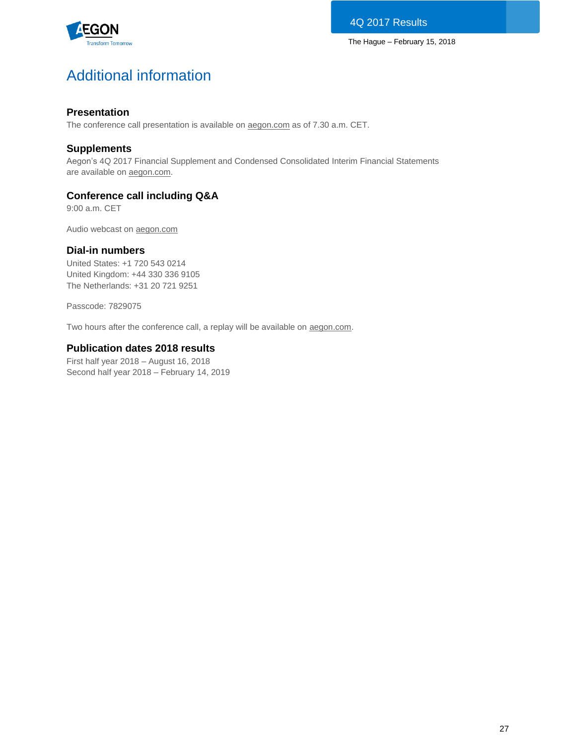

# Additional information

# **Presentation**

The conference call presentation is available on [aegon.com](http://www.aegon.com/results) as of 7.30 a.m. CET.

# **Supplements**

Aegon's 4Q 2017 Financial Supplement and Condensed Consolidated Interim Financial Statements are available on **aegon.com**.

# **Conference call including Q&A**

9:00 a.m. CET

Audio webcast on [aegon.com](http://www.aegon.com/results)

# **Dial-in numbers**

United States: +1 720 543 0214 United Kingdom: +44 330 336 9105 The Netherlands: +31 20 721 9251

Passcode: 7829075

Two hours after the conference call, a replay will be available on [aegon.com.](http://www.aegon.com/results)

# **Publication dates 2018 results**

First half year 2018 – August 16, 2018 Second half year 2018 – February 14, 2019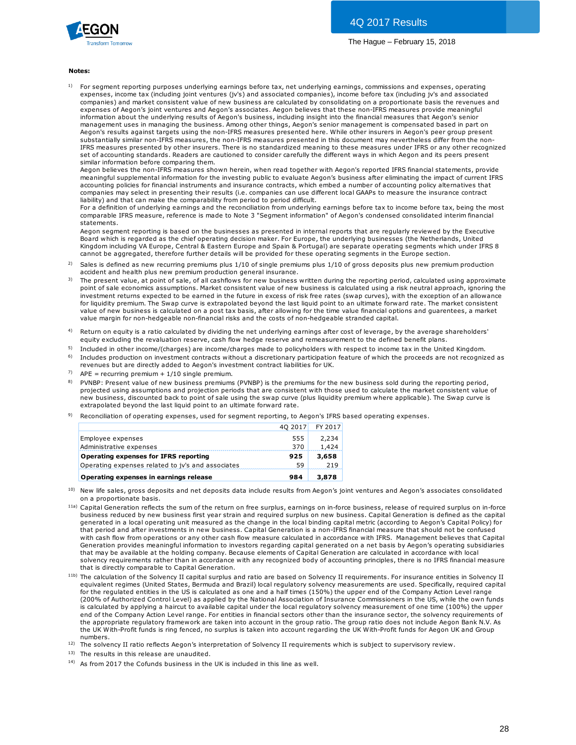

#### **Notes:**

1) For segment reporting purposes underlying earnings before tax, net underlying earnings, commissions and expenses, operating expenses, income tax (including joint ventures (jv's) and associated companies), income before tax (including jv's and associated **es:**<br>For segment reporting purposes underlying earnings before tax, net underlying earnings, commissions and expenses, operating<br>expenses, income tax (including joint ventures (jv's) and associated companies), income befo expenses of Aegon's joint ventures and Aegon's associates. Aegon believes that these non-IFRS measures provide meaningful information about the underlying results of Aegon's business, including insight into the financial measures that Aegon's senior management uses in managing the business. Among other things, Aegon's senior management is compensated based in part on Aegon's results against targets using the non-IFRS measures presented here. While other insurers in Aegon's peer group present substantially similar non-IFRS measures, the non-IFRS measures presented in this document may nevertheless differ from the non-IFRS measures presented by other insurers. There is no standardized meaning to these measures under IFRS or any other recognized set of accounting standards. Readers are cautioned to consider carefully the different ways in which Aegon and its peers present similar information before comparing them.

Aegon believes the non-IFRS measures shown herein, when read together with Aegon's reported IFRS financial statements, provide meaningful supplemental information for the investing public to evaluate Aegon's business after eliminating the impact of current IFRS accounting policies for financial instruments and insurance contracts, which embed a number of accounting policy alternatives that companies may select in presenting their results (i.e. companies can use different local GAAPs to measure the insurance contract liability) and that can make the comparability from period to period difficult.

For a definition of underlying earnings and the reconciliation from underlying earnings before tax to income before tax, being the most comparable IFRS measure, reference is made to Note 3 "Segment information" of Aegon's condensed consolidated interim financial statements.

Aegon segment reporting is based on the businesses as presented in internal reports that are regularly reviewed by the Executive Board which is regarded as the chief operating decision maker. For Europe, the underlying businesses (the Netherlands, United Kingdom including VA Europe, Central & Eastern Europe and Spain & Portugal) are separate operating segments which under IFRS 8 cannot be aggregated, therefore further details will be provided for these operating segments in the Europe section. statements.<br>Aegon segment reporting is based on the businesses as presented in internal reports that are regularly reviewed by the Executive<br>Board which is regarded as the chief operating decision maker. For Europe, the un Aegon segment reporting is based on the businesses as presented ir<br>Board which is regarded as the chief operating decision maker. For Ekingdom including VA Europe, Central & Eastern Europe and Spain & l<br>Cannot be aggregate Board which is regarded as the chief operating decision maker. For Europe, the underlying businesses (the Netherlands, United<br>Kingdom including VA Europe, Central & Eastern Europe and Spain & Portugal) are separate operati

- 2)
- 3) Kingdom including VA Europe, Central & Eastern Europe and Spain & Portugal) are separate operating segments which under IFRS 8<br>cannot be aggregated, therefore further details will be provided for these operating segments i investment returns expected to be earned in the future in excess of risk free rates (swap curves), with the exception of an allowance for liquidity premium. The Swap curve is extrapolated beyond the last liquid point to an ultimate forward rate. The market consistent accident and health plus new premium production general insurance.<br>The present value, at point of sale, of all cashflows for new business written during the reporting period, calculated using approxima<br>point of sale econom value margin for non-hedgeable non-financial risks and the costs of non-hedgeable stranded capital. value of new business is calculated on a post tax basis, after allowing for the time value financial options and quarentees, a market
- 4) Return on equity is a ratio calculated by dividing the net underlying earnings after cost of leverage, by the average shareholders'<br>equity excluding the revaluation reserve, cash flow hedge reserve and remeasurement to the
- 5) Included in other income/(charges) are income/charges made to policyholders with respect to income tax in the United Kingdom.
- 6) Includes production on investment contracts without a discretionary participation feature of which the proceeds are not recognized as revenues but are directly added to Aegon's investment contract liabilities for UK.
- 7)  $APE = recurring$  premium + 1/10 single premium.
- 8) equity excluding the revaluation reserve, cash how hedge reserve and remeasurement to the delined benefit plans.<br>Included in other income/(charges) are income/charges made to policyholders with respect to income tax in the projected using assumptions and projection periods that are consistent with those used to calculate the market consistent value of PVNBP: Present value of new business premiums (PVNBP) is the premiums for the new business sold during the reporting period, projected using assumptions and projection periods that are consistent with those used to calcula extrapolated beyond the last liquid point to an ultimate forward rate.
- 9) Reconciliation of operating expenses, used for segment reporting, to Aegon's IFRS based operating expenses.

|                                                   | 40 2017 | FY 2017 |
|---------------------------------------------------|---------|---------|
| Employee expenses                                 | 555     | 2,234   |
| Administrative expenses                           | 370     | 1,424   |
| Operating expenses for IFRS reporting             | 925     | 3,658   |
| Operating expenses related to jv's and associates | 59      | 219     |
| Operating expenses in earnings release            | 984     | 3,878   |

- 10) on a proportionate basis.
- <sup>11a)</sup> Capital Generation reflects the sum of the return on free surplus, earnings on in-force business, release of required surplus on in-force **Operating expenses in earnings release**<br> **984 3,878**<br>
New life sales, gross deposits and net deposits data include results from Aegon's joint ventures and Aegon's associates consolidated<br>
on a proportionate basis.<br>
Capita generated in a local operating unit measured as the change in the local binding capital metric (according to Aegon's Capital Policy) for<br>that period and after investments in new business. Capital Generation is a non-IFRS f New life sales, gross deposits and net deposits data include results from Aegon's joint ventures and Aegon's associates consolidate<br>on a proportionate basis.<br>Capital Generation reflects the sum of the return on free surplu on a proportionate basis.<br>Capital Generation reflects the sum of the return on free surplus, earnings on in-force business, release of required surplus on in-force<br>business reduced by new business first year strain and req Generation provides meaningful information to investors regarding capital generated on a net basis by Aegon's operating subsidiaries that may be available at the holding company. Because elements of Capital Generation are calculated in accordance with local solvency requirements rather than in accordance with any recognized body of accounting principles, there is no IFRS financial measure that is directly comparable to Capital Generation.
- <sup>11b)</sup> The calculation of the Solvency II capital surplus and ratio are based on Solvency II requirements. For insurance entities in Solvency II equivalent regimes (United States, Bermuda and Brazil) local regulatory solvency measurements are used. Specifically, required capital for the regulated entities in the US is calculated as one and a half times (150%) the upper end of the Company Action Level range (200% of Authorized Control Level) as applied by the National Association of Insurance Commissioners in the US, while the own funds is calculated by applying a haircut to available capital under the local regulatory solvency measurement of one time (100%) the upper end of the Company Action Level range. For entities in financial sectors other than the insurance sector, the solvency requirements of the appropriate regulatory framework are taken into account in the group ratio. The group ratio does not include Aegon Bank N.V. As the UK With-Profit funds is ring fenced, no surplus is taken into account regarding the UK With-Profit funds for Aegon UK and Group numbers. First colulated by applying a haircut to available capital under the local regulatory solvency measurement of one time (100%) the upper<br>end of the Company Action Level range. For entities in financial sectors other than th

12)

- 13) The results in this release are unaudited.
- $14)$  As from 2017 the Cofunds business in the UK is included in this line as well.